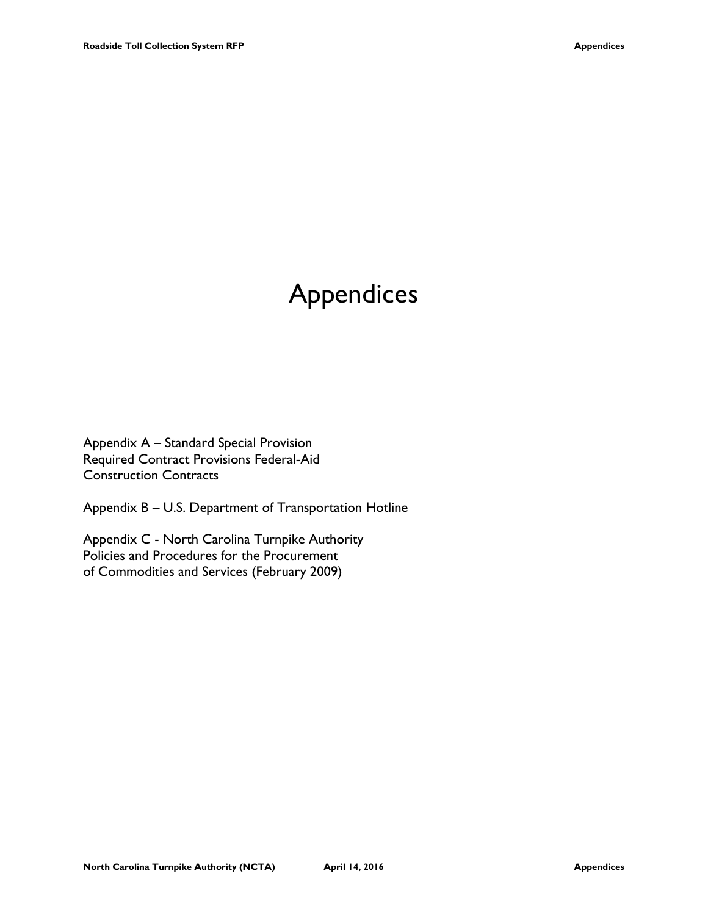## Appendices

Appendix A – Standard Special Provision Required Contract Provisions Federal-Aid Construction Contracts

Appendix B – U.S. Department of Transportation Hotline

Appendix C - North Carolina Turnpike Authority Policies and Procedures for the Procurement of Commodities and Services (February 2009)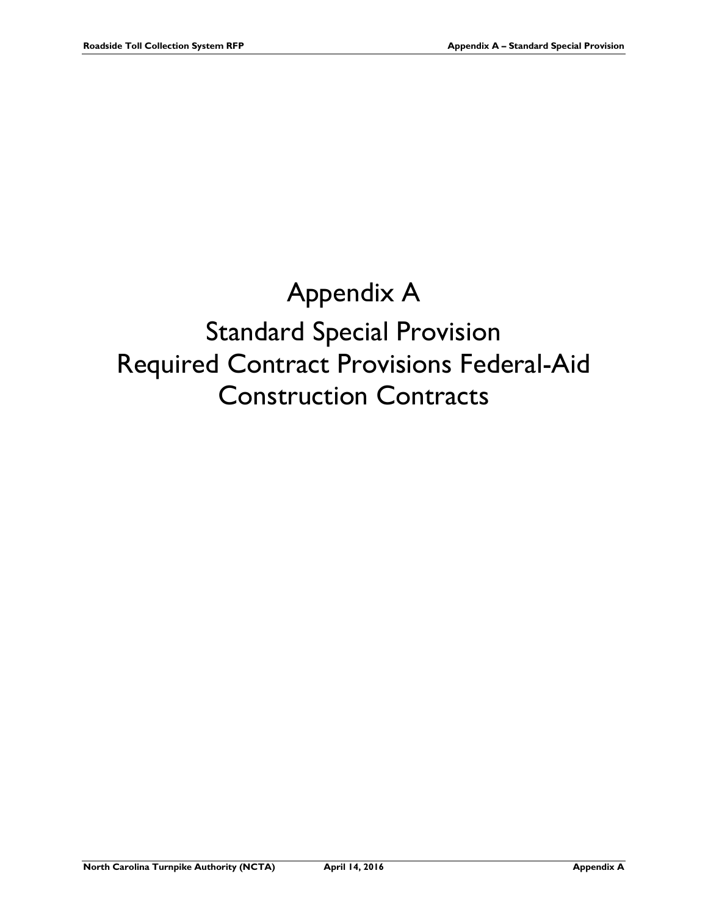# Appendix A Standard Special Provision Required Contract Provisions Federal-Aid Construction Contracts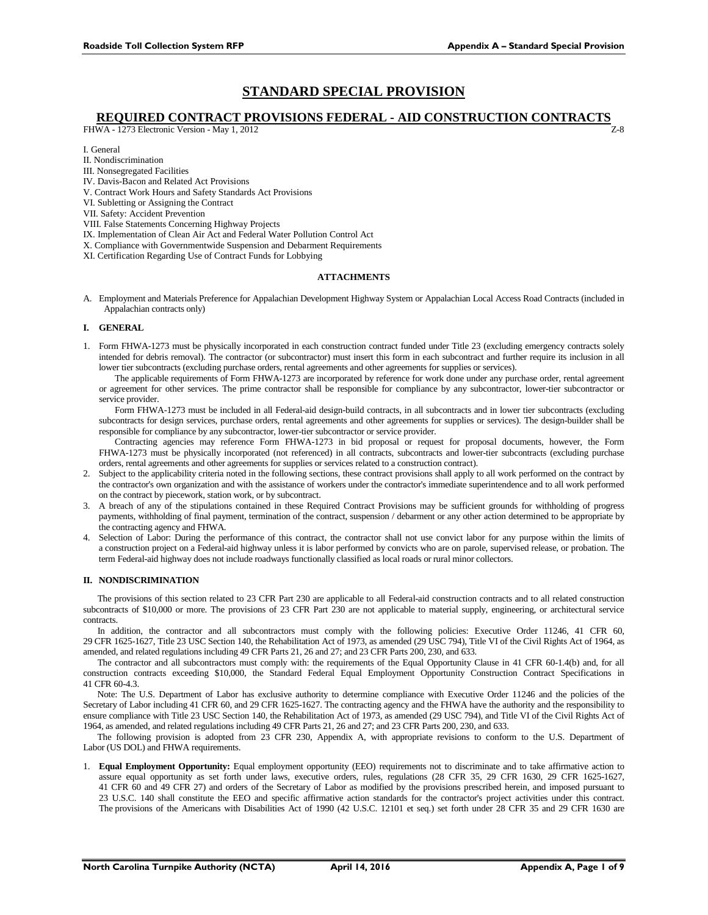## **STANDARD SPECIAL PROVISION**

#### **REQUIRED CONTRACT PROVISIONS FEDERAL - AID CONSTRUCTION CONTRACTS**

FHWA - 1273 Electronic Version - May 1, 2012 Z-8

I. General

II. Nondiscrimination

III. Nonsegregated Facilities

IV. Davis-Bacon and Related Act Provisions

V. Contract Work Hours and Safety Standards Act Provisions

VI. Subletting or Assigning the Contract

VII. Safety: Accident Prevention

VIII. False Statements Concerning Highway Projects

IX. Implementation of Clean Air Act and Federal Water Pollution Control Act

X. Compliance with Governmentwide Suspension and Debarment Requirements

XI. Certification Regarding Use of Contract Funds for Lobbying

#### **ATTACHMENTS**

A. Employment and Materials Preference for Appalachian Development Highway System or Appalachian Local Access Road Contracts (included in Appalachian contracts only)

#### **I. GENERAL**

1. Form FHWA-1273 must be physically incorporated in each construction contract funded under Title 23 (excluding emergency contracts solely intended for debris removal). The contractor (or subcontractor) must insert this form in each subcontract and further require its inclusion in all lower tier subcontracts (excluding purchase orders, rental agreements and other agreements for supplies or services).

The applicable requirements of Form FHWA-1273 are incorporated by reference for work done under any purchase order, rental agreement or agreement for other services. The prime contractor shall be responsible for compliance by any subcontractor, lower-tier subcontractor or service provider.

Form FHWA-1273 must be included in all Federal-aid design-build contracts, in all subcontracts and in lower tier subcontracts (excluding subcontracts for design services, purchase orders, rental agreements and other agreements for supplies or services). The design-builder shall be responsible for compliance by any subcontractor, lower-tier subcontractor or service provider.

Contracting agencies may reference Form FHWA-1273 in bid proposal or request for proposal documents, however, the Form FHWA-1273 must be physically incorporated (not referenced) in all contracts, subcontracts and lower-tier subcontracts (excluding purchase orders, rental agreements and other agreements for supplies or services related to a construction contract).

- 2. Subject to the applicability criteria noted in the following sections, these contract provisions shall apply to all work performed on the contract by the contractor's own organization and with the assistance of workers under the contractor's immediate superintendence and to all work performed on the contract by piecework, station work, or by subcontract.
- 3. A breach of any of the stipulations contained in these Required Contract Provisions may be sufficient grounds for withholding of progress payments, withholding of final payment, termination of the contract, suspension / debarment or any other action determined to be appropriate by the contracting agency and FHWA.
- 4. Selection of Labor: During the performance of this contract, the contractor shall not use convict labor for any purpose within the limits of a construction project on a Federal-aid highway unless it is labor performed by convicts who are on parole, supervised release, or probation. The term Federal-aid highway does not include roadways functionally classified as local roads or rural minor collectors.

#### **II. NONDISCRIMINATION**

The provisions of this section related to 23 CFR Part 230 are applicable to all Federal-aid construction contracts and to all related construction subcontracts of \$10,000 or more. The provisions of 23 CFR Part 230 are not applicable to material supply, engineering, or architectural service contracts.

In addition, the contractor and all subcontractors must comply with the following policies: Executive Order 11246, 41 CFR 60, 29 CFR 1625-1627, Title 23 USC Section 140, the Rehabilitation Act of 1973, as amended (29 USC 794), Title VI of the Civil Rights Act of 1964, as amended, and related regulations including 49 CFR Parts 21, 26 and 27; and 23 CFR Parts 200, 230, and 633.

The contractor and all subcontractors must comply with: the requirements of the Equal Opportunity Clause in 41 CFR 60-1.4(b) and, for all construction contracts exceeding \$10,000, the Standard Federal Equal Employment Opportunity Construction Contract Specifications in 41 CFR 60-4.3.

Note: The U.S. Department of Labor has exclusive authority to determine compliance with Executive Order 11246 and the policies of the Secretary of Labor including 41 CFR 60, and 29 CFR 1625-1627. The contracting agency and the FHWA have the authority and the responsibility to ensure compliance with Title 23 USC Section 140, the Rehabilitation Act of 1973, as amended (29 USC 794), and Title VI of the Civil Rights Act of 1964, as amended, and related regulations including 49 CFR Parts 21, 26 and 27; and 23 CFR Parts 200, 230, and 633.

The following provision is adopted from 23 CFR 230, Appendix A, with appropriate revisions to conform to the U.S. Department of Labor (US DOL) and FHWA requirements.

1. **Equal Employment Opportunity:** Equal employment opportunity (EEO) requirements not to discriminate and to take affirmative action to assure equal opportunity as set forth under laws, executive orders, rules, regulations (28 CFR 35, 29 CFR 1630, 29 CFR 1625-1627, 41 CFR 60 and 49 CFR 27) and orders of the Secretary of Labor as modified by the provisions prescribed herein, and imposed pursuant to 23 U.S.C. 140 shall constitute the EEO and specific affirmative action standards for the contractor's project activities under this contract. The provisions of the Americans with Disabilities Act of 1990 (42 U.S.C. 12101 et seq.) set forth under 28 CFR 35 and 29 CFR 1630 are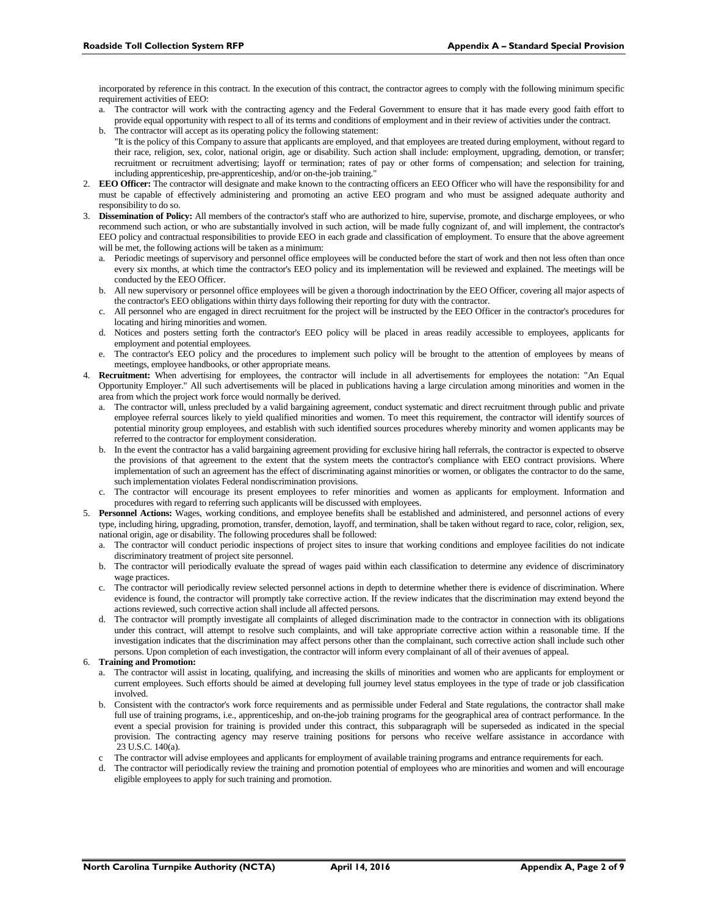incorporated by reference in this contract. In the execution of this contract, the contractor agrees to comply with the following minimum specific requirement activities of EEO:

- a. The contractor will work with the contracting agency and the Federal Government to ensure that it has made every good faith effort to provide equal opportunity with respect to all of its terms and conditions of employment and in their review of activities under the contract.
- b. The contractor will accept as its operating policy the following statement: "It is the policy of this Company to assure that applicants are employed, and that employees are treated during employment, without regard to their race, religion, sex, color, national origin, age or disability. Such action shall include: employment, upgrading, demotion, or transfer; recruitment or recruitment advertising; layoff or termination; rates of pay or other forms of compensation; and selection for training, including apprenticeship, pre-apprenticeship, and/or on-the-job training."
- 2. **EEO Officer:** The contractor will designate and make known to the contracting officers an EEO Officer who will have the responsibility for and must be capable of effectively administering and promoting an active EEO program and who must be assigned adequate authority and responsibility to do so.
- 3. **Dissemination of Policy:** All members of the contractor's staff who are authorized to hire, supervise, promote, and discharge employees, or who recommend such action, or who are substantially involved in such action, will be made fully cognizant of, and will implement, the contractor's EEO policy and contractual responsibilities to provide EEO in each grade and classification of employment. To ensure that the above agreement will be met, the following actions will be taken as a minimum:
	- a. Periodic meetings of supervisory and personnel office employees will be conducted before the start of work and then not less often than once every six months, at which time the contractor's EEO policy and its implementation will be reviewed and explained. The meetings will be conducted by the EEO Officer.
	- b. All new supervisory or personnel office employees will be given a thorough indoctrination by the EEO Officer, covering all major aspects of the contractor's EEO obligations within thirty days following their reporting for duty with the contractor.
	- c. All personnel who are engaged in direct recruitment for the project will be instructed by the EEO Officer in the contractor's procedures for locating and hiring minorities and women.
	- d. Notices and posters setting forth the contractor's EEO policy will be placed in areas readily accessible to employees, applicants for employment and potential employees.
	- e. The contractor's EEO policy and the procedures to implement such policy will be brought to the attention of employees by means of meetings, employee handbooks, or other appropriate means.
- 4. **Recruitment:** When advertising for employees, the contractor will include in all advertisements for employees the notation: "An Equal Opportunity Employer." All such advertisements will be placed in publications having a large circulation among minorities and women in the area from which the project work force would normally be derived.
	- a. The contractor will, unless precluded by a valid bargaining agreement, conduct systematic and direct recruitment through public and private employee referral sources likely to yield qualified minorities and women. To meet this requirement, the contractor will identify sources of potential minority group employees, and establish with such identified sources procedures whereby minority and women applicants may be referred to the contractor for employment consideration.
	- b. In the event the contractor has a valid bargaining agreement providing for exclusive hiring hall referrals, the contractor is expected to observe the provisions of that agreement to the extent that the system meets the contractor's compliance with EEO contract provisions. Where implementation of such an agreement has the effect of discriminating against minorities or women, or obligates the contractor to do the same, such implementation violates Federal nondiscrimination provisions.
	- c. The contractor will encourage its present employees to refer minorities and women as applicants for employment. Information and procedures with regard to referring such applicants will be discussed with employees.
- 5. **Personnel Actions:** Wages, working conditions, and employee benefits shall be established and administered, and personnel actions of every type, including hiring, upgrading, promotion, transfer, demotion, layoff, and termination, shall be taken without regard to race, color, religion, sex, national origin, age or disability. The following procedures shall be followed:
	- a. The contractor will conduct periodic inspections of project sites to insure that working conditions and employee facilities do not indicate discriminatory treatment of project site personnel.
	- b. The contractor will periodically evaluate the spread of wages paid within each classification to determine any evidence of discriminatory wage practices.
	- c. The contractor will periodically review selected personnel actions in depth to determine whether there is evidence of discrimination. Where evidence is found, the contractor will promptly take corrective action. If the review indicates that the discrimination may extend beyond the actions reviewed, such corrective action shall include all affected persons.
	- d. The contractor will promptly investigate all complaints of alleged discrimination made to the contractor in connection with its obligations under this contract, will attempt to resolve such complaints, and will take appropriate corrective action within a reasonable time. If the investigation indicates that the discrimination may affect persons other than the complainant, such corrective action shall include such other persons. Upon completion of each investigation, the contractor will inform every complainant of all of their avenues of appeal.
- 6. **Training and Promotion:**
	- a. The contractor will assist in locating, qualifying, and increasing the skills of minorities and women who are applicants for employment or current employees. Such efforts should be aimed at developing full journey level status employees in the type of trade or job classification involved.
	- b. Consistent with the contractor's work force requirements and as permissible under Federal and State regulations, the contractor shall make full use of training programs, i.e., apprenticeship, and on-the-job training programs for the geographical area of contract performance. In the event a special provision for training is provided under this contract, this subparagraph will be superseded as indicated in the special provision. The contracting agency may reserve training positions for persons who receive welfare assistance in accordance with 23 U.S.C. 140(a).
	- c The contractor will advise employees and applicants for employment of available training programs and entrance requirements for each.
	- The contractor will periodically review the training and promotion potential of employees who are minorities and women and will encourage eligible employees to apply for such training and promotion.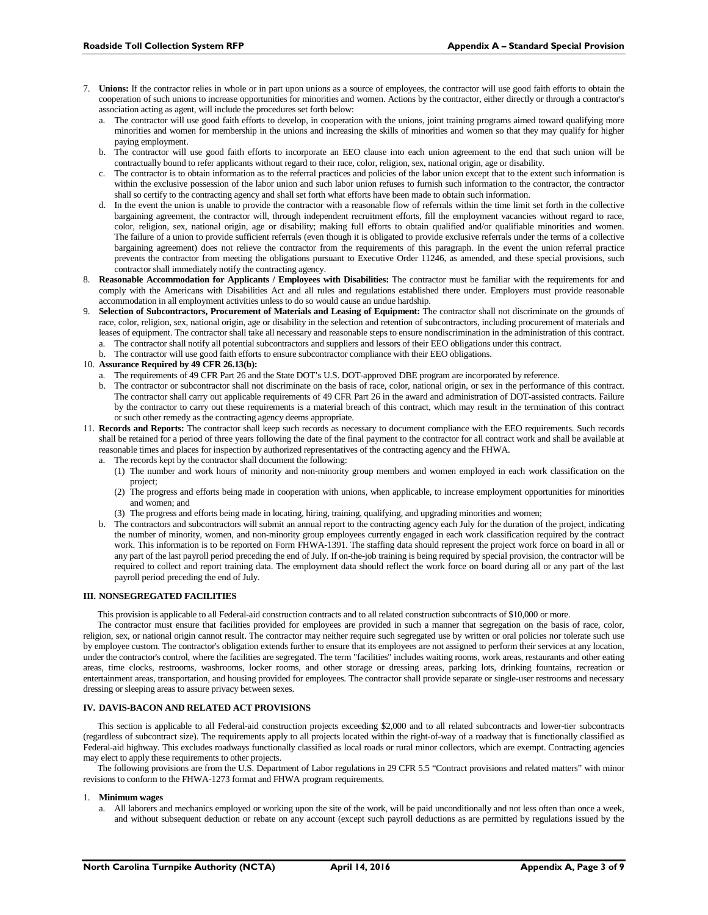- 7. **Unions:** If the contractor relies in whole or in part upon unions as a source of employees, the contractor will use good faith efforts to obtain the cooperation of such unions to increase opportunities for minorities and women. Actions by the contractor, either directly or through a contractor's association acting as agent, will include the procedures set forth below:
	- a. The contractor will use good faith efforts to develop, in cooperation with the unions, joint training programs aimed toward qualifying more minorities and women for membership in the unions and increasing the skills of minorities and women so that they may qualify for higher paying employment.
	- b. The contractor will use good faith efforts to incorporate an EEO clause into each union agreement to the end that such union will be contractually bound to refer applicants without regard to their race, color, religion, sex, national origin, age or disability.
	- c. The contractor is to obtain information as to the referral practices and policies of the labor union except that to the extent such information is within the exclusive possession of the labor union and such labor union refuses to furnish such information to the contractor, the contractor shall so certify to the contracting agency and shall set forth what efforts have been made to obtain such information.
	- d. In the event the union is unable to provide the contractor with a reasonable flow of referrals within the time limit set forth in the collective bargaining agreement, the contractor will, through independent recruitment efforts, fill the employment vacancies without regard to race, color, religion, sex, national origin, age or disability; making full efforts to obtain qualified and/or qualifiable minorities and women. The failure of a union to provide sufficient referrals (even though it is obligated to provide exclusive referrals under the terms of a collective bargaining agreement) does not relieve the contractor from the requirements of this paragraph. In the event the union referral practice prevents the contractor from meeting the obligations pursuant to Executive Order 11246, as amended, and these special provisions, such contractor shall immediately notify the contracting agency.
- 8. **Reasonable Accommodation for Applicants / Employees with Disabilities:** The contractor must be familiar with the requirements for and comply with the Americans with Disabilities Act and all rules and regulations established there under. Employers must provide reasonable accommodation in all employment activities unless to do so would cause an undue hardship.
- 9. **Selection of Subcontractors, Procurement of Materials and Leasing of Equipment:** The contractor shall not discriminate on the grounds of race, color, religion, sex, national origin, age or disability in the selection and retention of subcontractors, including procurement of materials and leases of equipment. The contractor shall take all necessary and reasonable steps to ensure nondiscrimination in the administration of this contract. a. The contractor shall notify all potential subcontractors and suppliers and lessors of their EEO obligations under this contract.
	- b. The contractor will use good faith efforts to ensure subcontractor compliance with their EEO obligations.
- 10. **Assurance Required by 49 CFR 26.13(b):**
	- a. The requirements of 49 CFR Part 26 and the State DOT's U.S. DOT-approved DBE program are incorporated by reference.
	- b. The contractor or subcontractor shall not discriminate on the basis of race, color, national origin, or sex in the performance of this contract. The contractor shall carry out applicable requirements of 49 CFR Part 26 in the award and administration of DOT-assisted contracts. Failure by the contractor to carry out these requirements is a material breach of this contract, which may result in the termination of this contract or such other remedy as the contracting agency deems appropriate.
- 11. **Records and Reports:** The contractor shall keep such records as necessary to document compliance with the EEO requirements. Such records shall be retained for a period of three years following the date of the final payment to the contractor for all contract work and shall be available at reasonable times and places for inspection by authorized representatives of the contracting agency and the FHWA.
	- a. The records kept by the contractor shall document the following:
		- (1) The number and work hours of minority and non-minority group members and women employed in each work classification on the project;
		- (2) The progress and efforts being made in cooperation with unions, when applicable, to increase employment opportunities for minorities and women; and
		- (3) The progress and efforts being made in locating, hiring, training, qualifying, and upgrading minorities and women;
	- b. The contractors and subcontractors will submit an annual report to the contracting agency each July for the duration of the project, indicating the number of minority, women, and non-minority group employees currently engaged in each work classification required by the contract work. This information is to be reported on Form FHWA-1391. The staffing data should represent the project work force on board in all or any part of the last payroll period preceding the end of July. If on-the-job training is being required by special provision, the contractor will be required to collect and report training data. The employment data should reflect the work force on board during all or any part of the last payroll period preceding the end of July.

#### **III. NONSEGREGATED FACILITIES**

This provision is applicable to all Federal-aid construction contracts and to all related construction subcontracts of \$10,000 or more.

The contractor must ensure that facilities provided for employees are provided in such a manner that segregation on the basis of race, color, religion, sex, or national origin cannot result. The contractor may neither require such segregated use by written or oral policies nor tolerate such use by employee custom. The contractor's obligation extends further to ensure that its employees are not assigned to perform their services at any location, under the contractor's control, where the facilities are segregated. The term "facilities" includes waiting rooms, work areas, restaurants and other eating areas, time clocks, restrooms, washrooms, locker rooms, and other storage or dressing areas, parking lots, drinking fountains, recreation or entertainment areas, transportation, and housing provided for employees. The contractor shall provide separate or single-user restrooms and necessary dressing or sleeping areas to assure privacy between sexes.

#### **IV. DAVIS-BACON AND RELATED ACT PROVISIONS**

This section is applicable to all Federal-aid construction projects exceeding \$2,000 and to all related subcontracts and lower-tier subcontracts (regardless of subcontract size). The requirements apply to all projects located within the right-of-way of a roadway that is functionally classified as Federal-aid highway. This excludes roadways functionally classified as local roads or rural minor collectors, which are exempt. Contracting agencies may elect to apply these requirements to other projects.

The following provisions are from the U.S. Department of Labor regulations in 29 CFR 5.5 "Contract provisions and related matters" with minor revisions to conform to the FHWA-1273 format and FHWA program requirements.

#### 1. **Minimum wages**

a. All laborers and mechanics employed or working upon the site of the work, will be paid unconditionally and not less often than once a week, and without subsequent deduction or rebate on any account (except such payroll deductions as are permitted by regulations issued by the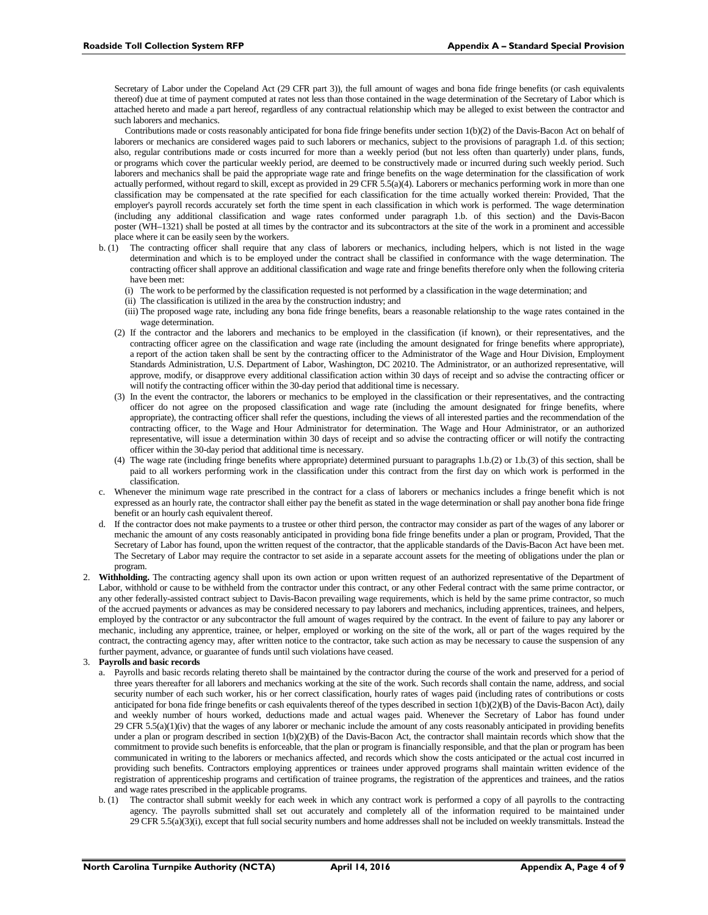Secretary of Labor under the Copeland Act (29 CFR part 3)), the full amount of wages and bona fide fringe benefits (or cash equivalents thereof) due at time of payment computed at rates not less than those contained in the wage determination of the Secretary of Labor which is attached hereto and made a part hereof, regardless of any contractual relationship which may be alleged to exist between the contractor and such laborers and mechanics.

Contributions made or costs reasonably anticipated for bona fide fringe benefits under section 1(b)(2) of the Davis-Bacon Act on behalf of laborers or mechanics are considered wages paid to such laborers or mechanics, subject to the provisions of paragraph 1.d. of this section; also, regular contributions made or costs incurred for more than a weekly period (but not less often than quarterly) under plans, funds, or programs which cover the particular weekly period, are deemed to be constructively made or incurred during such weekly period. Such laborers and mechanics shall be paid the appropriate wage rate and fringe benefits on the wage determination for the classification of work actually performed, without regard to skill, except as provided in 29 CFR 5.5(a)(4). Laborers or mechanics performing work in more than one classification may be compensated at the rate specified for each classification for the time actually worked therein: Provided, That the employer's payroll records accurately set forth the time spent in each classification in which work is performed. The wage determination (including any additional classification and wage rates conformed under paragraph 1.b. of this section) and the Davis-Bacon poster (WH–1321) shall be posted at all times by the contractor and its subcontractors at the site of the work in a prominent and accessible place where it can be easily seen by the workers.

- b. (1) The contracting officer shall require that any class of laborers or mechanics, including helpers, which is not listed in the wage determination and which is to be employed under the contract shall be classified in conformance with the wage determination. The contracting officer shall approve an additional classification and wage rate and fringe benefits therefore only when the following criteria have been met:
	- (i) The work to be performed by the classification requested is not performed by a classification in the wage determination; and
	- (ii) The classification is utilized in the area by the construction industry; and
	- (iii) The proposed wage rate, including any bona fide fringe benefits, bears a reasonable relationship to the wage rates contained in the wage determination.
	- (2) If the contractor and the laborers and mechanics to be employed in the classification (if known), or their representatives, and the contracting officer agree on the classification and wage rate (including the amount designated for fringe benefits where appropriate), a report of the action taken shall be sent by the contracting officer to the Administrator of the Wage and Hour Division, Employment Standards Administration, U.S. Department of Labor, Washington, DC 20210. The Administrator, or an authorized representative, will approve, modify, or disapprove every additional classification action within 30 days of receipt and so advise the contracting officer or will notify the contracting officer within the 30-day period that additional time is necessary.
	- (3) In the event the contractor, the laborers or mechanics to be employed in the classification or their representatives, and the contracting officer do not agree on the proposed classification and wage rate (including the amount designated for fringe benefits, where appropriate), the contracting officer shall refer the questions, including the views of all interested parties and the recommendation of the contracting officer, to the Wage and Hour Administrator for determination. The Wage and Hour Administrator, or an authorized representative, will issue a determination within 30 days of receipt and so advise the contracting officer or will notify the contracting officer within the 30-day period that additional time is necessary.
	- (4) The wage rate (including fringe benefits where appropriate) determined pursuant to paragraphs 1.b.(2) or 1.b.(3) of this section, shall be paid to all workers performing work in the classification under this contract from the first day on which work is performed in the classification.
- c. Whenever the minimum wage rate prescribed in the contract for a class of laborers or mechanics includes a fringe benefit which is not expressed as an hourly rate, the contractor shall either pay the benefit as stated in the wage determination or shall pay another bona fide fringe benefit or an hourly cash equivalent thereof.
- d. If the contractor does not make payments to a trustee or other third person, the contractor may consider as part of the wages of any laborer or mechanic the amount of any costs reasonably anticipated in providing bona fide fringe benefits under a plan or program, Provided, That the Secretary of Labor has found, upon the written request of the contractor, that the applicable standards of the Davis-Bacon Act have been met. The Secretary of Labor may require the contractor to set aside in a separate account assets for the meeting of obligations under the plan or program.
- 2. **Withholding.** The contracting agency shall upon its own action or upon written request of an authorized representative of the Department of Labor, withhold or cause to be withheld from the contractor under this contract, or any other Federal contract with the same prime contractor, or any other federally-assisted contract subject to Davis-Bacon prevailing wage requirements, which is held by the same prime contractor, so much of the accrued payments or advances as may be considered necessary to pay laborers and mechanics, including apprentices, trainees, and helpers, employed by the contractor or any subcontractor the full amount of wages required by the contract. In the event of failure to pay any laborer or mechanic, including any apprentice, trainee, or helper, employed or working on the site of the work, all or part of the wages required by the contract, the contracting agency may, after written notice to the contractor, take such action as may be necessary to cause the suspension of any further payment, advance, or guarantee of funds until such violations have ceased.
- 3. **Payrolls and basic records**
	- a. Payrolls and basic records relating thereto shall be maintained by the contractor during the course of the work and preserved for a period of three years thereafter for all laborers and mechanics working at the site of the work. Such records shall contain the name, address, and social security number of each such worker, his or her correct classification, hourly rates of wages paid (including rates of contributions or costs anticipated for bona fide fringe benefits or cash equivalents thereof of the types described in section 1(b)(2)(B) of the Davis-Bacon Act), daily and weekly number of hours worked, deductions made and actual wages paid. Whenever the Secretary of Labor has found under 29 CFR 5.5(a)(1)(iv) that the wages of any laborer or mechanic include the amount of any costs reasonably anticipated in providing benefits under a plan or program described in section 1(b)(2)(B) of the Davis-Bacon Act, the contractor shall maintain records which show that the commitment to provide such benefits is enforceable, that the plan or program is financially responsible, and that the plan or program has been communicated in writing to the laborers or mechanics affected, and records which show the costs anticipated or the actual cost incurred in providing such benefits. Contractors employing apprentices or trainees under approved programs shall maintain written evidence of the registration of apprenticeship programs and certification of trainee programs, the registration of the apprentices and trainees, and the ratios and wage rates prescribed in the applicable programs.
	- b. (1) The contractor shall submit weekly for each week in which any contract work is performed a copy of all payrolls to the contracting agency. The payrolls submitted shall set out accurately and completely all of the information required to be maintained under 29 CFR 5.5(a)(3)(i), except that full social security numbers and home addresses shall not be included on weekly transmittals. Instead the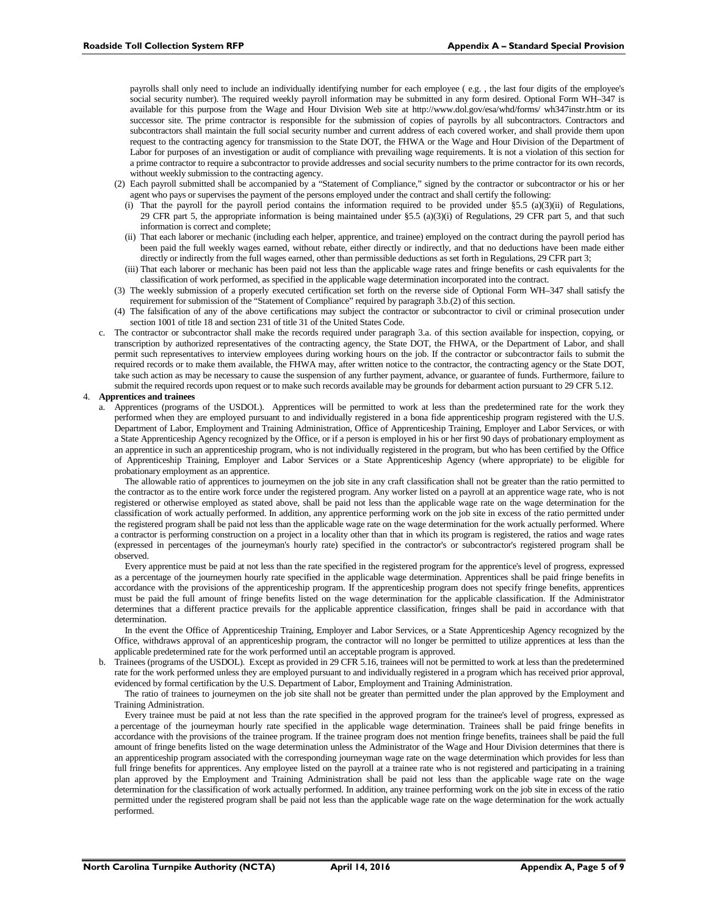payrolls shall only need to include an individually identifying number for each employee ( e.g. , the last four digits of the employee's social security number). The required weekly payroll information may be submitted in any form desired. Optional Form WH–347 is available for this purpose from the Wage and Hour Division Web site at http://www.dol.gov/esa/whd/forms/ wh347instr.htm or its successor site. The prime contractor is responsible for the submission of copies of payrolls by all subcontractors. Contractors and subcontractors shall maintain the full social security number and current address of each covered worker, and shall provide them upon request to the contracting agency for transmission to the State DOT, the FHWA or the Wage and Hour Division of the Department of Labor for purposes of an investigation or audit of compliance with prevailing wage requirements. It is not a violation of this section for a prime contractor to require a subcontractor to provide addresses and social security numbers to the prime contractor for its own records, without weekly submission to the contracting agency.

- (2) Each payroll submitted shall be accompanied by a "Statement of Compliance," signed by the contractor or subcontractor or his or her agent who pays or supervises the payment of the persons employed under the contract and shall certify the following:
	- (i) That the payroll for the payroll period contains the information required to be provided under §5.5 (a)(3)(ii) of Regulations, 29 CFR part 5, the appropriate information is being maintained under §5.5 (a)(3)(i) of Regulations, 29 CFR part 5, and that such information is correct and complete;
	- (ii) That each laborer or mechanic (including each helper, apprentice, and trainee) employed on the contract during the payroll period has been paid the full weekly wages earned, without rebate, either directly or indirectly, and that no deductions have been made either directly or indirectly from the full wages earned, other than permissible deductions as set forth in Regulations, 29 CFR part 3;
	- (iii) That each laborer or mechanic has been paid not less than the applicable wage rates and fringe benefits or cash equivalents for the classification of work performed, as specified in the applicable wage determination incorporated into the contract.
- (3) The weekly submission of a properly executed certification set forth on the reverse side of Optional Form WH–347 shall satisfy the requirement for submission of the "Statement of Compliance" required by paragraph 3.b.(2) of this section.
- (4) The falsification of any of the above certifications may subject the contractor or subcontractor to civil or criminal prosecution under section 1001 of title 18 and section 231 of title 31 of the United States Code.
- c. The contractor or subcontractor shall make the records required under paragraph 3.a. of this section available for inspection, copying, or transcription by authorized representatives of the contracting agency, the State DOT, the FHWA, or the Department of Labor, and shall permit such representatives to interview employees during working hours on the job. If the contractor or subcontractor fails to submit the required records or to make them available, the FHWA may, after written notice to the contractor, the contracting agency or the State DOT, take such action as may be necessary to cause the suspension of any further payment, advance, or guarantee of funds. Furthermore, failure to submit the required records upon request or to make such records available may be grounds for debarment action pursuant to 29 CFR 5.12.

#### 4. **Apprentices and trainees**

a. Apprentices (programs of the USDOL). Apprentices will be permitted to work at less than the predetermined rate for the work they performed when they are employed pursuant to and individually registered in a bona fide apprenticeship program registered with the U.S. Department of Labor, Employment and Training Administration, Office of Apprenticeship Training, Employer and Labor Services, or with a State Apprenticeship Agency recognized by the Office, or if a person is employed in his or her first 90 days of probationary employment as an apprentice in such an apprenticeship program, who is not individually registered in the program, but who has been certified by the Office of Apprenticeship Training, Employer and Labor Services or a State Apprenticeship Agency (where appropriate) to be eligible for probationary employment as an apprentice.

The allowable ratio of apprentices to journeymen on the job site in any craft classification shall not be greater than the ratio permitted to the contractor as to the entire work force under the registered program. Any worker listed on a payroll at an apprentice wage rate, who is not registered or otherwise employed as stated above, shall be paid not less than the applicable wage rate on the wage determination for the classification of work actually performed. In addition, any apprentice performing work on the job site in excess of the ratio permitted under the registered program shall be paid not less than the applicable wage rate on the wage determination for the work actually performed. Where a contractor is performing construction on a project in a locality other than that in which its program is registered, the ratios and wage rates (expressed in percentages of the journeyman's hourly rate) specified in the contractor's or subcontractor's registered program shall be observed.

Every apprentice must be paid at not less than the rate specified in the registered program for the apprentice's level of progress, expressed as a percentage of the journeymen hourly rate specified in the applicable wage determination. Apprentices shall be paid fringe benefits in accordance with the provisions of the apprenticeship program. If the apprenticeship program does not specify fringe benefits, apprentices must be paid the full amount of fringe benefits listed on the wage determination for the applicable classification. If the Administrator determines that a different practice prevails for the applicable apprentice classification, fringes shall be paid in accordance with that determination.

In the event the Office of Apprenticeship Training, Employer and Labor Services, or a State Apprenticeship Agency recognized by the Office, withdraws approval of an apprenticeship program, the contractor will no longer be permitted to utilize apprentices at less than the applicable predetermined rate for the work performed until an acceptable program is approved.

b. Trainees (programs of the USDOL). Except as provided in 29 CFR 5.16, trainees will not be permitted to work at less than the predetermined rate for the work performed unless they are employed pursuant to and individually registered in a program which has received prior approval, evidenced by formal certification by the U.S. Department of Labor, Employment and Training Administration.

The ratio of trainees to journeymen on the job site shall not be greater than permitted under the plan approved by the Employment and Training Administration.

Every trainee must be paid at not less than the rate specified in the approved program for the trainee's level of progress, expressed as a percentage of the journeyman hourly rate specified in the applicable wage determination. Trainees shall be paid fringe benefits in accordance with the provisions of the trainee program. If the trainee program does not mention fringe benefits, trainees shall be paid the full amount of fringe benefits listed on the wage determination unless the Administrator of the Wage and Hour Division determines that there is an apprenticeship program associated with the corresponding journeyman wage rate on the wage determination which provides for less than full fringe benefits for apprentices. Any employee listed on the payroll at a trainee rate who is not registered and participating in a training plan approved by the Employment and Training Administration shall be paid not less than the applicable wage rate on the wage determination for the classification of work actually performed. In addition, any trainee performing work on the job site in excess of the ratio permitted under the registered program shall be paid not less than the applicable wage rate on the wage determination for the work actually performed.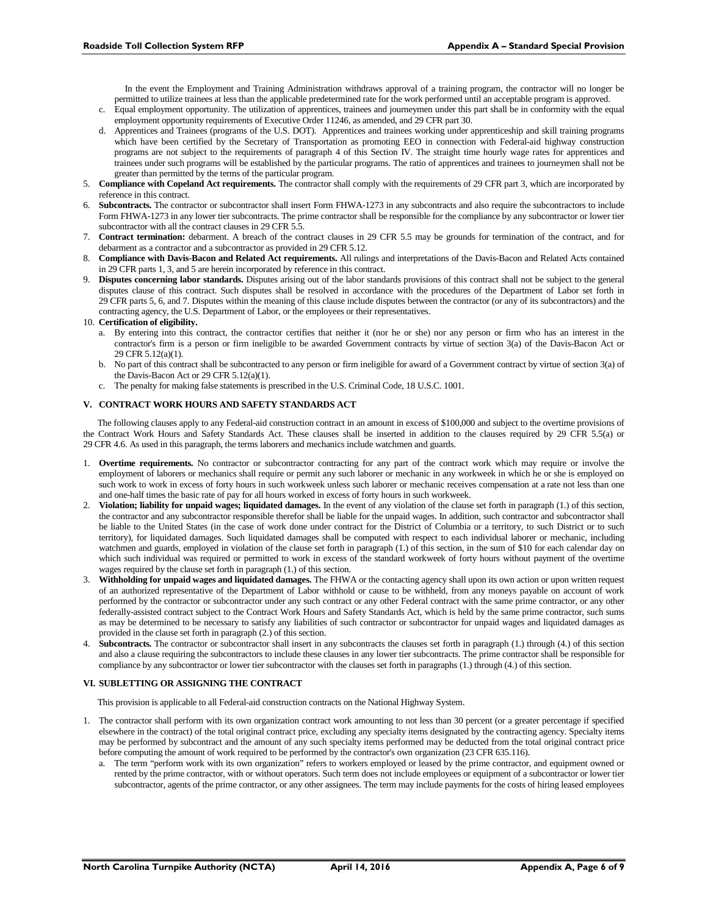In the event the Employment and Training Administration withdraws approval of a training program, the contractor will no longer be permitted to utilize trainees at less than the applicable predetermined rate for the work performed until an acceptable program is approved.

- c. Equal employment opportunity. The utilization of apprentices, trainees and journeymen under this part shall be in conformity with the equal employment opportunity requirements of Executive Order 11246, as amended, and 29 CFR part 30.
- d. Apprentices and Trainees (programs of the U.S. DOT). Apprentices and trainees working under apprenticeship and skill training programs which have been certified by the Secretary of Transportation as promoting EEO in connection with Federal-aid highway construction programs are not subject to the requirements of paragraph 4 of this Section IV. The straight time hourly wage rates for apprentices and trainees under such programs will be established by the particular programs. The ratio of apprentices and trainees to journeymen shall not be greater than permitted by the terms of the particular program.
- 5. **Compliance with Copeland Act requirements.** The contractor shall comply with the requirements of 29 CFR part 3, which are incorporated by reference in this contract.
- 6. **Subcontracts.** The contractor or subcontractor shall insert Form FHWA-1273 in any subcontracts and also require the subcontractors to include Form FHWA-1273 in any lower tier subcontracts. The prime contractor shall be responsible for the compliance by any subcontractor or lower tier subcontractor with all the contract clauses in 29 CFR 5.5.
- 7. **Contract termination:** debarment. A breach of the contract clauses in 29 CFR 5.5 may be grounds for termination of the contract, and for debarment as a contractor and a subcontractor as provided in 29 CFR 5.12.
- 8. **Compliance with Davis-Bacon and Related Act requirements.** All rulings and interpretations of the Davis-Bacon and Related Acts contained in 29 CFR parts 1, 3, and 5 are herein incorporated by reference in this contract.
- 9. **Disputes concerning labor standards.** Disputes arising out of the labor standards provisions of this contract shall not be subject to the general disputes clause of this contract. Such disputes shall be resolved in accordance with the procedures of the Department of Labor set forth in 29 CFR parts 5, 6, and 7. Disputes within the meaning of this clause include disputes between the contractor (or any of its subcontractors) and the contracting agency, the U.S. Department of Labor, or the employees or their representatives.

#### 10. **Certification of eligibility.**

- a. By entering into this contract, the contractor certifies that neither it (nor he or she) nor any person or firm who has an interest in the contractor's firm is a person or firm ineligible to be awarded Government contracts by virtue of section 3(a) of the Davis-Bacon Act or 29 CFR 5.12(a)(1).
- b. No part of this contract shall be subcontracted to any person or firm ineligible for award of a Government contract by virtue of section 3(a) of the Davis-Bacon Act or 29 CFR 5.12(a)(1).
- c. The penalty for making false statements is prescribed in the U.S. Criminal Code, 18 U.S.C. 1001.

#### **V. CONTRACT WORK HOURS AND SAFETY STANDARDS ACT**

The following clauses apply to any Federal-aid construction contract in an amount in excess of \$100,000 and subject to the overtime provisions of the Contract Work Hours and Safety Standards Act. These clauses shall be inserted in addition to the clauses required by 29 CFR 5.5(a) or 29 CFR 4.6. As used in this paragraph, the terms laborers and mechanics include watchmen and guards.

- 1. **Overtime requirements.** No contractor or subcontractor contracting for any part of the contract work which may require or involve the employment of laborers or mechanics shall require or permit any such laborer or mechanic in any workweek in which he or she is employed on such work to work in excess of forty hours in such workweek unless such laborer or mechanic receives compensation at a rate not less than one and one-half times the basic rate of pay for all hours worked in excess of forty hours in such workweek.
- 2. **Violation; liability for unpaid wages; liquidated damages.** In the event of any violation of the clause set forth in paragraph (1.) of this section, the contractor and any subcontractor responsible therefor shall be liable for the unpaid wages. In addition, such contractor and subcontractor shall be liable to the United States (in the case of work done under contract for the District of Columbia or a territory, to such District or to such territory), for liquidated damages. Such liquidated damages shall be computed with respect to each individual laborer or mechanic, including watchmen and guards, employed in violation of the clause set forth in paragraph (1.) of this section, in the sum of \$10 for each calendar day on which such individual was required or permitted to work in excess of the standard workweek of forty hours without payment of the overtime wages required by the clause set forth in paragraph (1.) of this section.
- 3. **Withholding for unpaid wages and liquidated damages.** The FHWA or the contacting agency shall upon its own action or upon written request of an authorized representative of the Department of Labor withhold or cause to be withheld, from any moneys payable on account of work performed by the contractor or subcontractor under any such contract or any other Federal contract with the same prime contractor, or any other federally-assisted contract subject to the Contract Work Hours and Safety Standards Act, which is held by the same prime contractor, such sums as may be determined to be necessary to satisfy any liabilities of such contractor or subcontractor for unpaid wages and liquidated damages as provided in the clause set forth in paragraph (2.) of this section.
- 4. **Subcontracts.** The contractor or subcontractor shall insert in any subcontracts the clauses set forth in paragraph (1.) through (4.) of this section and also a clause requiring the subcontractors to include these clauses in any lower tier subcontracts. The prime contractor shall be responsible for compliance by any subcontractor or lower tier subcontractor with the clauses set forth in paragraphs (1.) through (4.) of this section.

#### **VI. SUBLETTING OR ASSIGNING THE CONTRACT**

This provision is applicable to all Federal-aid construction contracts on the National Highway System.

- 1. The contractor shall perform with its own organization contract work amounting to not less than 30 percent (or a greater percentage if specified elsewhere in the contract) of the total original contract price, excluding any specialty items designated by the contracting agency. Specialty items may be performed by subcontract and the amount of any such specialty items performed may be deducted from the total original contract price before computing the amount of work required to be performed by the contractor's own organization (23 CFR 635.116).
	- a. The term "perform work with its own organization" refers to workers employed or leased by the prime contractor, and equipment owned or rented by the prime contractor, with or without operators. Such term does not include employees or equipment of a subcontractor or lower tier subcontractor, agents of the prime contractor, or any other assignees. The term may include payments for the costs of hiring leased employees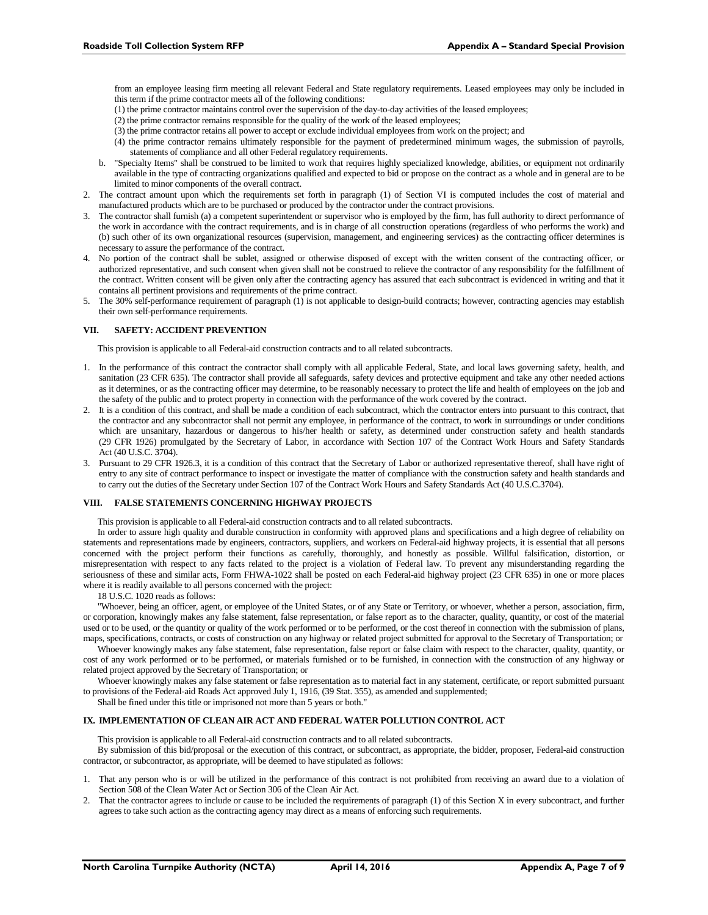from an employee leasing firm meeting all relevant Federal and State regulatory requirements. Leased employees may only be included in this term if the prime contractor meets all of the following conditions:

- (1) the prime contractor maintains control over the supervision of the day-to-day activities of the leased employees;
- (2) the prime contractor remains responsible for the quality of the work of the leased employees;
- (3) the prime contractor retains all power to accept or exclude individual employees from work on the project; and
- (4) the prime contractor remains ultimately responsible for the payment of predetermined minimum wages, the submission of payrolls, statements of compliance and all other Federal regulatory requirements.
- b. "Specialty Items" shall be construed to be limited to work that requires highly specialized knowledge, abilities, or equipment not ordinarily available in the type of contracting organizations qualified and expected to bid or propose on the contract as a whole and in general are to be limited to minor components of the overall contract.
- 2. The contract amount upon which the requirements set forth in paragraph (1) of Section VI is computed includes the cost of material and manufactured products which are to be purchased or produced by the contractor under the contract provisions.
- 3. The contractor shall furnish (a) a competent superintendent or supervisor who is employed by the firm, has full authority to direct performance of the work in accordance with the contract requirements, and is in charge of all construction operations (regardless of who performs the work) and (b) such other of its own organizational resources (supervision, management, and engineering services) as the contracting officer determines is necessary to assure the performance of the contract.
- 4. No portion of the contract shall be sublet, assigned or otherwise disposed of except with the written consent of the contracting officer, or authorized representative, and such consent when given shall not be construed to relieve the contractor of any responsibility for the fulfillment of the contract. Written consent will be given only after the contracting agency has assured that each subcontract is evidenced in writing and that it contains all pertinent provisions and requirements of the prime contract.
- 5. The 30% self-performance requirement of paragraph (1) is not applicable to design-build contracts; however, contracting agencies may establish their own self-performance requirements.

#### **VII. SAFETY: ACCIDENT PREVENTION**

This provision is applicable to all Federal-aid construction contracts and to all related subcontracts.

- 1. In the performance of this contract the contractor shall comply with all applicable Federal, State, and local laws governing safety, health, and sanitation (23 CFR 635). The contractor shall provide all safeguards, safety devices and protective equipment and take any other needed actions as it determines, or as the contracting officer may determine, to be reasonably necessary to protect the life and health of employees on the job and the safety of the public and to protect property in connection with the performance of the work covered by the contract.
- 2. It is a condition of this contract, and shall be made a condition of each subcontract, which the contractor enters into pursuant to this contract, that the contractor and any subcontractor shall not permit any employee, in performance of the contract, to work in surroundings or under conditions which are unsanitary, hazardous or dangerous to his/her health or safety, as determined under construction safety and health standards (29 CFR 1926) promulgated by the Secretary of Labor, in accordance with Section 107 of the Contract Work Hours and Safety Standards Act (40 U.S.C. 3704).
- 3. Pursuant to 29 CFR 1926.3, it is a condition of this contract that the Secretary of Labor or authorized representative thereof, shall have right of entry to any site of contract performance to inspect or investigate the matter of compliance with the construction safety and health standards and to carry out the duties of the Secretary under Section 107 of the Contract Work Hours and Safety Standards Act (40 U.S.C.3704).

#### **VIII. FALSE STATEMENTS CONCERNING HIGHWAY PROJECTS**

This provision is applicable to all Federal-aid construction contracts and to all related subcontracts.

In order to assure high quality and durable construction in conformity with approved plans and specifications and a high degree of reliability on statements and representations made by engineers, contractors, suppliers, and workers on Federal-aid highway projects, it is essential that all persons concerned with the project perform their functions as carefully, thoroughly, and honestly as possible. Willful falsification, distortion, or misrepresentation with respect to any facts related to the project is a violation of Federal law. To prevent any misunderstanding regarding the seriousness of these and similar acts, Form FHWA-1022 shall be posted on each Federal-aid highway project (23 CFR 635) in one or more places where it is readily available to all persons concerned with the project:

18 U.S.C. 1020 reads as follows:

"Whoever, being an officer, agent, or employee of the United States, or of any State or Territory, or whoever, whether a person, association, firm, or corporation, knowingly makes any false statement, false representation, or false report as to the character, quality, quantity, or cost of the material used or to be used, or the quantity or quality of the work performed or to be performed, or the cost thereof in connection with the submission of plans, maps, specifications, contracts, or costs of construction on any highway or related project submitted for approval to the Secretary of Transportation; or

Whoever knowingly makes any false statement, false representation, false report or false claim with respect to the character, quality, quantity, or cost of any work performed or to be performed, or materials furnished or to be furnished, in connection with the construction of any highway or related project approved by the Secretary of Transportation; or

Whoever knowingly makes any false statement or false representation as to material fact in any statement, certificate, or report submitted pursuant to provisions of the Federal-aid Roads Act approved July 1, 1916, (39 Stat. 355), as amended and supplemented;

Shall be fined under this title or imprisoned not more than 5 years or both."

#### **IX. IMPLEMENTATION OF CLEAN AIR ACT AND FEDERAL WATER POLLUTION CONTROL ACT**

This provision is applicable to all Federal-aid construction contracts and to all related subcontracts.

By submission of this bid/proposal or the execution of this contract, or subcontract, as appropriate, the bidder, proposer, Federal-aid construction contractor, or subcontractor, as appropriate, will be deemed to have stipulated as follows:

- 1. That any person who is or will be utilized in the performance of this contract is not prohibited from receiving an award due to a violation of Section 508 of the Clean Water Act or Section 306 of the Clean Air Act.
- 2. That the contractor agrees to include or cause to be included the requirements of paragraph (1) of this Section X in every subcontract, and further agrees to take such action as the contracting agency may direct as a means of enforcing such requirements.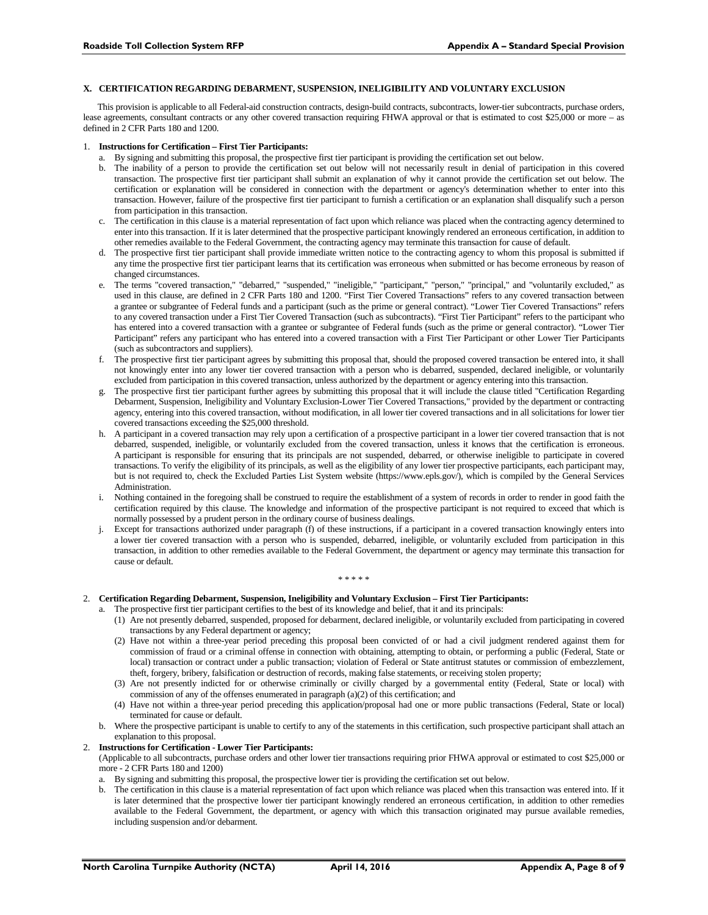#### **X. CERTIFICATION REGARDING DEBARMENT, SUSPENSION, INELIGIBILITY AND VOLUNTARY EXCLUSION**

This provision is applicable to all Federal-aid construction contracts, design-build contracts, subcontracts, lower-tier subcontracts, purchase orders, lease agreements, consultant contracts or any other covered transaction requiring FHWA approval or that is estimated to cost \$25,000 or more – as defined in 2 CFR Parts 180 and 1200.

#### 1. **Instructions for Certification – First Tier Participants:**

- a. By signing and submitting this proposal, the prospective first tier participant is providing the certification set out below.
- b. The inability of a person to provide the certification set out below will not necessarily result in denial of participation in this covered transaction. The prospective first tier participant shall submit an explanation of why it cannot provide the certification set out below. The certification or explanation will be considered in connection with the department or agency's determination whether to enter into this transaction. However, failure of the prospective first tier participant to furnish a certification or an explanation shall disqualify such a person from participation in this transaction.
- c. The certification in this clause is a material representation of fact upon which reliance was placed when the contracting agency determined to enter into this transaction. If it is later determined that the prospective participant knowingly rendered an erroneous certification, in addition to other remedies available to the Federal Government, the contracting agency may terminate this transaction for cause of default.
- d. The prospective first tier participant shall provide immediate written notice to the contracting agency to whom this proposal is submitted if any time the prospective first tier participant learns that its certification was erroneous when submitted or has become erroneous by reason of changed circumstances.
- e. The terms "covered transaction," "debarred," "suspended," "ineligible," "participant," "person," "principal," and "voluntarily excluded," as used in this clause, are defined in 2 CFR Parts 180 and 1200. "First Tier Covered Transactions" refers to any covered transaction between a grantee or subgrantee of Federal funds and a participant (such as the prime or general contract). "Lower Tier Covered Transactions" refers to any covered transaction under a First Tier Covered Transaction (such as subcontracts). "First Tier Participant" refers to the participant who has entered into a covered transaction with a grantee or subgrantee of Federal funds (such as the prime or general contractor). "Lower Tier Participant" refers any participant who has entered into a covered transaction with a First Tier Participant or other Lower Tier Participants (such as subcontractors and suppliers).
- f. The prospective first tier participant agrees by submitting this proposal that, should the proposed covered transaction be entered into, it shall not knowingly enter into any lower tier covered transaction with a person who is debarred, suspended, declared ineligible, or voluntarily excluded from participation in this covered transaction, unless authorized by the department or agency entering into this transaction.
- g. The prospective first tier participant further agrees by submitting this proposal that it will include the clause titled "Certification Regarding Debarment, Suspension, Ineligibility and Voluntary Exclusion-Lower Tier Covered Transactions," provided by the department or contracting agency, entering into this covered transaction, without modification, in all lower tier covered transactions and in all solicitations for lower tier covered transactions exceeding the \$25,000 threshold.
- h. A participant in a covered transaction may rely upon a certification of a prospective participant in a lower tier covered transaction that is not debarred, suspended, ineligible, or voluntarily excluded from the covered transaction, unless it knows that the certification is erroneous. A participant is responsible for ensuring that its principals are not suspended, debarred, or otherwise ineligible to participate in covered transactions. To verify the eligibility of its principals, as well as the eligibility of any lower tier prospective participants, each participant may, but is not required to, check the Excluded Parties List System website (https://www.epls.gov/), which is compiled by the General Services Administration.
- i. Nothing contained in the foregoing shall be construed to require the establishment of a system of records in order to render in good faith the certification required by this clause. The knowledge and information of the prospective participant is not required to exceed that which is normally possessed by a prudent person in the ordinary course of business dealings.
- j. Except for transactions authorized under paragraph (f) of these instructions, if a participant in a covered transaction knowingly enters into a lower tier covered transaction with a person who is suspended, debarred, ineligible, or voluntarily excluded from participation in this transaction, in addition to other remedies available to the Federal Government, the department or agency may terminate this transaction for cause or default.

#### \* \* \* \* \*

#### 2. **Certification Regarding Debarment, Suspension, Ineligibility and Voluntary Exclusion – First Tier Participants:**

- a. The prospective first tier participant certifies to the best of its knowledge and belief, that it and its principals:
	- (1) Are not presently debarred, suspended, proposed for debarment, declared ineligible, or voluntarily excluded from participating in covered transactions by any Federal department or agency;
	- (2) Have not within a three-year period preceding this proposal been convicted of or had a civil judgment rendered against them for commission of fraud or a criminal offense in connection with obtaining, attempting to obtain, or performing a public (Federal, State or local) transaction or contract under a public transaction; violation of Federal or State antitrust statutes or commission of embezzlement, theft, forgery, bribery, falsification or destruction of records, making false statements, or receiving stolen property;
	- (3) Are not presently indicted for or otherwise criminally or civilly charged by a governmental entity (Federal, State or local) with commission of any of the offenses enumerated in paragraph  $(a)(2)$  of this certification; and
	- (4) Have not within a three-year period preceding this application/proposal had one or more public transactions (Federal, State or local) terminated for cause or default.
- b. Where the prospective participant is unable to certify to any of the statements in this certification, such prospective participant shall attach an explanation to this proposal.

#### 2. **Instructions for Certification - Lower Tier Participants:**

(Applicable to all subcontracts, purchase orders and other lower tier transactions requiring prior FHWA approval or estimated to cost \$25,000 or more - 2 CFR Parts 180 and 1200)

- a. By signing and submitting this proposal, the prospective lower tier is providing the certification set out below.
- b. The certification in this clause is a material representation of fact upon which reliance was placed when this transaction was entered into. If it is later determined that the prospective lower tier participant knowingly rendered an erroneous certification, in addition to other remedies available to the Federal Government, the department, or agency with which this transaction originated may pursue available remedies, including suspension and/or debarment.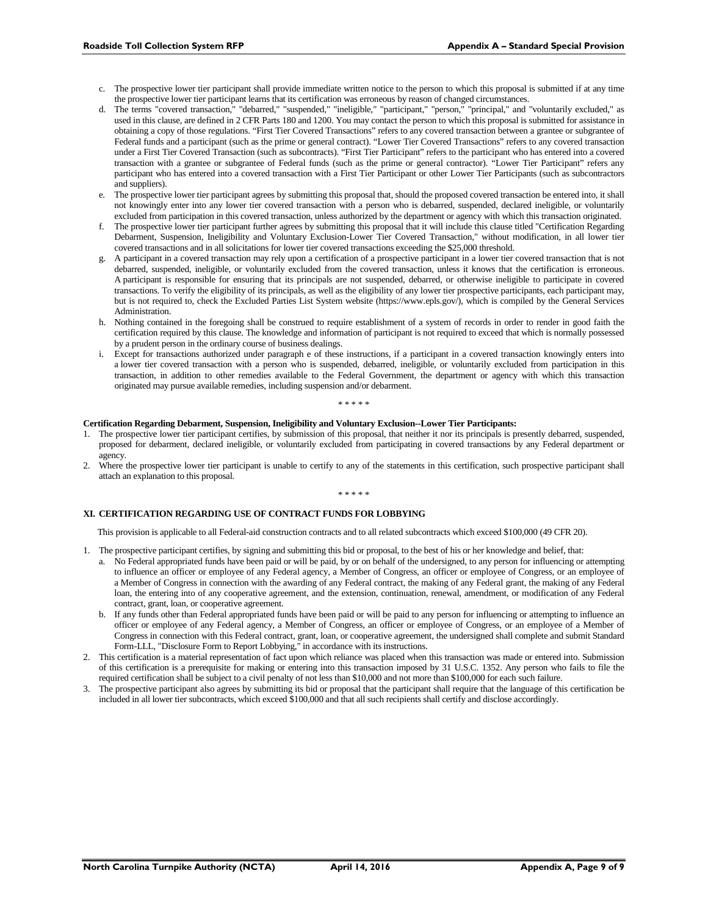- c. The prospective lower tier participant shall provide immediate written notice to the person to which this proposal is submitted if at any time the prospective lower tier participant learns that its certification was erroneous by reason of changed circumstances.
- d. The terms "covered transaction," "debarred," "suspended," "ineligible," "participant," "person," "principal," and "voluntarily excluded," as used in this clause, are defined in 2 CFR Parts 180 and 1200. You may contact the person to which this proposal is submitted for assistance in obtaining a copy of those regulations. "First Tier Covered Transactions" refers to any covered transaction between a grantee or subgrantee of Federal funds and a participant (such as the prime or general contract). "Lower Tier Covered Transactions" refers to any covered transaction under a First Tier Covered Transaction (such as subcontracts). "First Tier Participant" refers to the participant who has entered into a covered transaction with a grantee or subgrantee of Federal funds (such as the prime or general contractor). "Lower Tier Participant" refers any participant who has entered into a covered transaction with a First Tier Participant or other Lower Tier Participants (such as subcontractors and suppliers).
- e. The prospective lower tier participant agrees by submitting this proposal that, should the proposed covered transaction be entered into, it shall not knowingly enter into any lower tier covered transaction with a person who is debarred, suspended, declared ineligible, or voluntarily excluded from participation in this covered transaction, unless authorized by the department or agency with which this transaction originated.
- f. The prospective lower tier participant further agrees by submitting this proposal that it will include this clause titled "Certification Regarding Debarment, Suspension, Ineligibility and Voluntary Exclusion-Lower Tier Covered Transaction," without modification, in all lower tier covered transactions and in all solicitations for lower tier covered transactions exceeding the \$25,000 threshold.
- g. A participant in a covered transaction may rely upon a certification of a prospective participant in a lower tier covered transaction that is not debarred, suspended, ineligible, or voluntarily excluded from the covered transaction, unless it knows that the certification is erroneous. A participant is responsible for ensuring that its principals are not suspended, debarred, or otherwise ineligible to participate in covered transactions. To verify the eligibility of its principals, as well as the eligibility of any lower tier prospective participants, each participant may, but is not required to, check the Excluded Parties List System website (https://www.epls.gov/), which is compiled by the General Services Administration.
- h. Nothing contained in the foregoing shall be construed to require establishment of a system of records in order to render in good faith the certification required by this clause. The knowledge and information of participant is not required to exceed that which is normally possessed by a prudent person in the ordinary course of business dealings.
- i. Except for transactions authorized under paragraph e of these instructions, if a participant in a covered transaction knowingly enters into a lower tier covered transaction with a person who is suspended, debarred, ineligible, or voluntarily excluded from participation in this transaction, in addition to other remedies available to the Federal Government, the department or agency with which this transaction originated may pursue available remedies, including suspension and/or debarment.

#### \* \* \* \* \*

#### **Certification Regarding Debarment, Suspension, Ineligibility and Voluntary Exclusion--Lower Tier Participants:**

- 1. The prospective lower tier participant certifies, by submission of this proposal, that neither it nor its principals is presently debarred, suspended, proposed for debarment, declared ineligible, or voluntarily excluded from participating in covered transactions by any Federal department or agency.
- 2. Where the prospective lower tier participant is unable to certify to any of the statements in this certification, such prospective participant shall attach an explanation to this proposal.

#### \* \* \* \*

#### **XI. CERTIFICATION REGARDING USE OF CONTRACT FUNDS FOR LOBBYING**

This provision is applicable to all Federal-aid construction contracts and to all related subcontracts which exceed \$100,000 (49 CFR 20).

- 1. The prospective participant certifies, by signing and submitting this bid or proposal, to the best of his or her knowledge and belief, that:
	- a. No Federal appropriated funds have been paid or will be paid, by or on behalf of the undersigned, to any person for influencing or attempting to influence an officer or employee of any Federal agency, a Member of Congress, an officer or employee of Congress, or an employee of a Member of Congress in connection with the awarding of any Federal contract, the making of any Federal grant, the making of any Federal loan, the entering into of any cooperative agreement, and the extension, continuation, renewal, amendment, or modification of any Federal contract, grant, loan, or cooperative agreement.
	- b. If any funds other than Federal appropriated funds have been paid or will be paid to any person for influencing or attempting to influence an officer or employee of any Federal agency, a Member of Congress, an officer or employee of Congress, or an employee of a Member of Congress in connection with this Federal contract, grant, loan, or cooperative agreement, the undersigned shall complete and submit Standard Form-LLL, "Disclosure Form to Report Lobbying," in accordance with its instructions.
- 2. This certification is a material representation of fact upon which reliance was placed when this transaction was made or entered into. Submission of this certification is a prerequisite for making or entering into this transaction imposed by 31 U.S.C. 1352. Any person who fails to file the required certification shall be subject to a civil penalty of not less than \$10,000 and not more than \$100,000 for each such failure.
- 3. The prospective participant also agrees by submitting its bid or proposal that the participant shall require that the language of this certification be included in all lower tier subcontracts, which exceed \$100,000 and that all such recipients shall certify and disclose accordingly.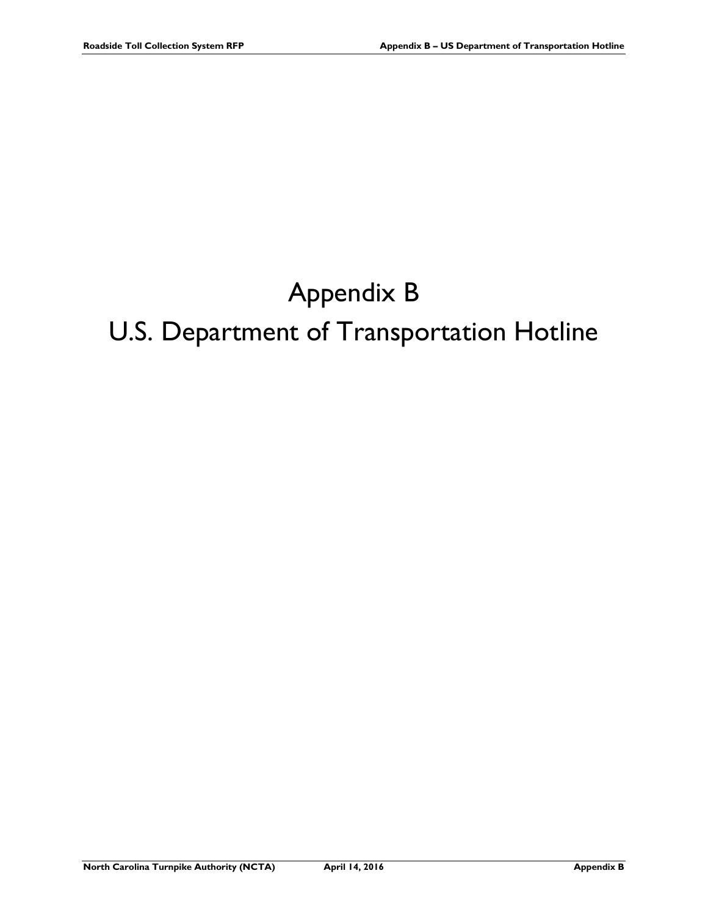# Appendix B U.S. Department of Transportation Hotline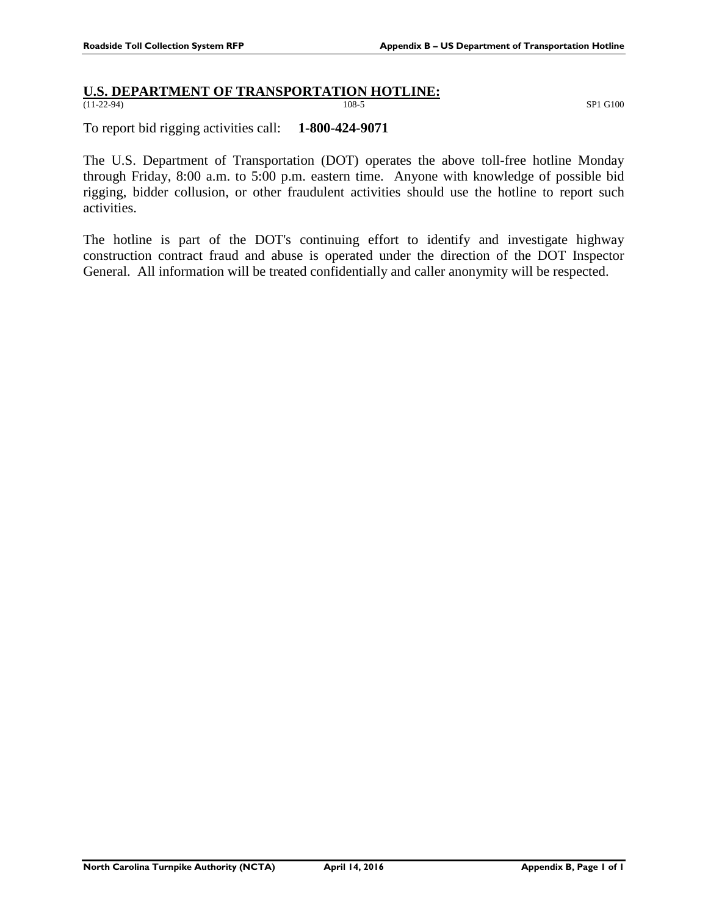## **U.S. DEPARTMENT OF TRANSPORTATION HOTLINE:**<br>(11-22-94)

(11-22-94) 108-5 SP1 G100

To report bid rigging activities call: **1-800-424-9071**

The U.S. Department of Transportation (DOT) operates the above toll-free hotline Monday through Friday, 8:00 a.m. to 5:00 p.m. eastern time. Anyone with knowledge of possible bid rigging, bidder collusion, or other fraudulent activities should use the hotline to report such activities.

The hotline is part of the DOT's continuing effort to identify and investigate highway construction contract fraud and abuse is operated under the direction of the DOT Inspector General. All information will be treated confidentially and caller anonymity will be respected.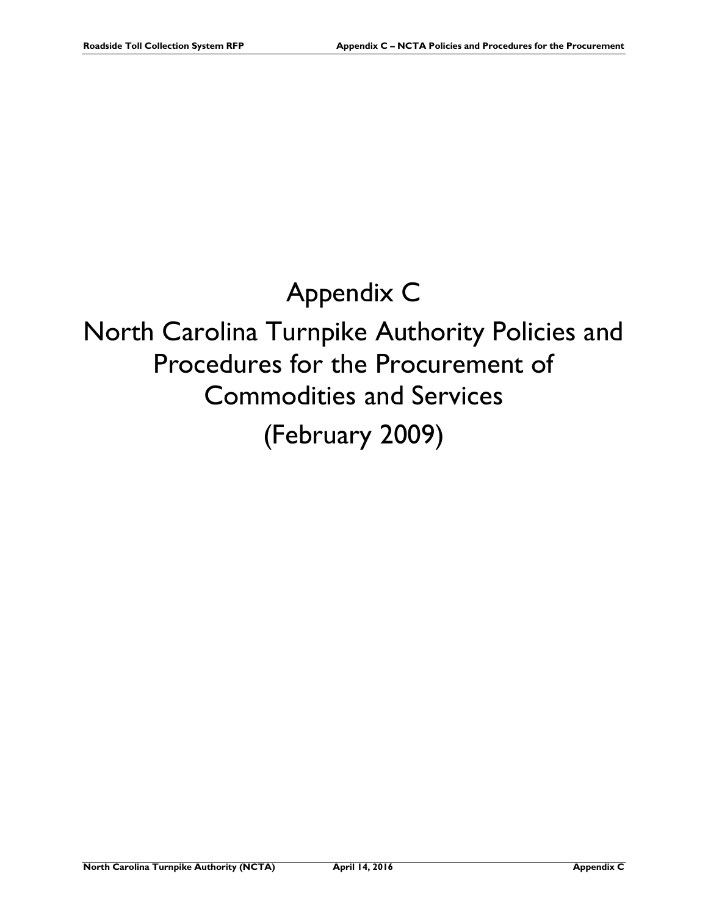## Appendix C

# North Carolina Turnpike Authority Policies and Procedures for the Procurement of Commodities and Services (February 2009)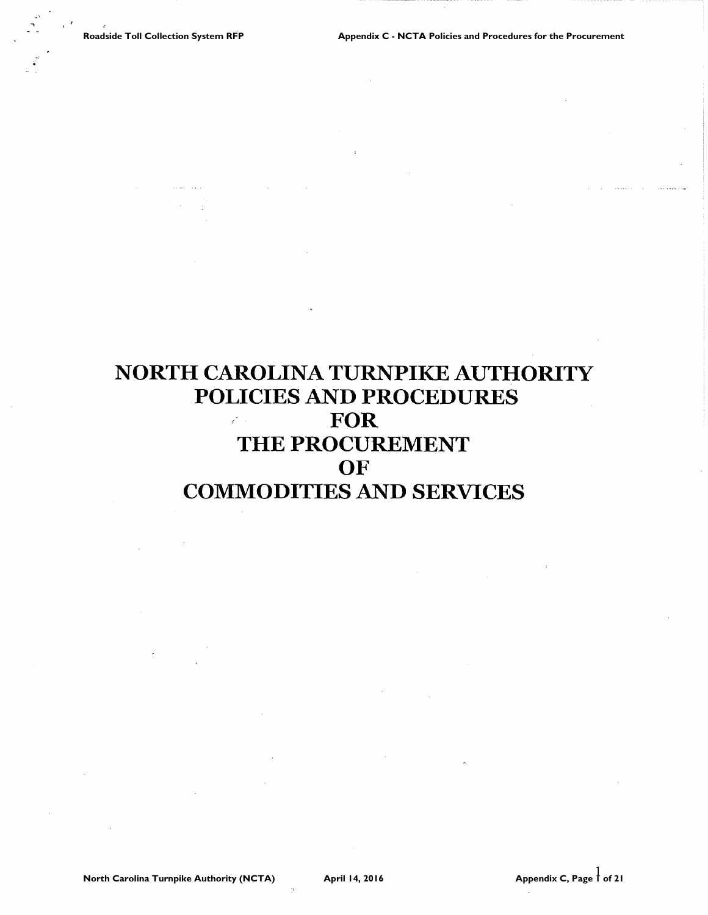## NORTH CAROLINA TURNPIKE AUTHORITY POLICIES AND PROCEDURES **FOR** k. THE PROCUREMENT OF **COMMODITIES AND SERVICES**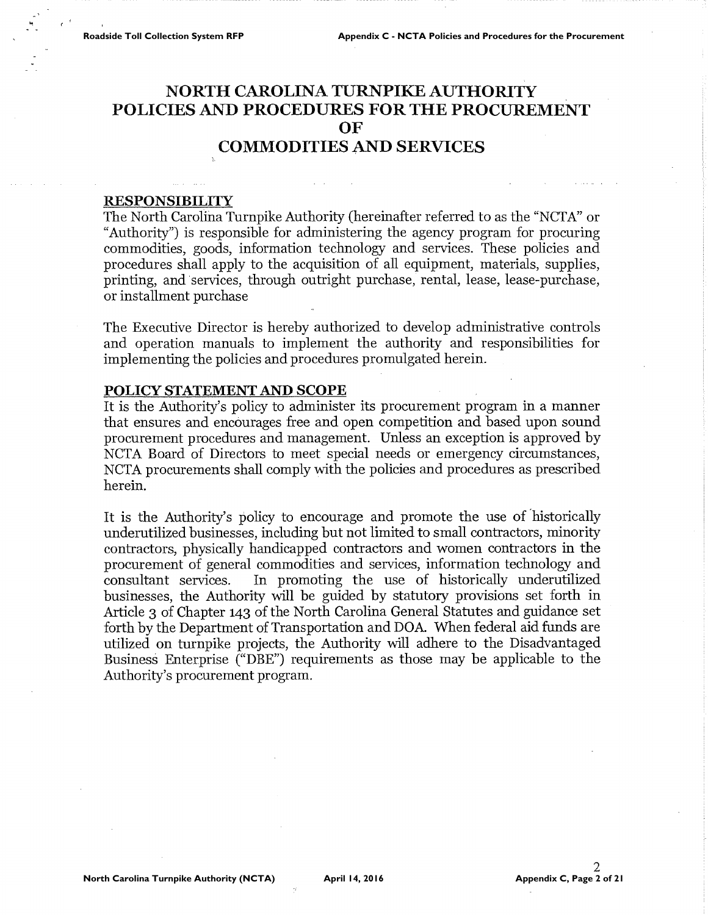## NORTH CAROLINA TURNPIKE AUTHORITY POLICIES AND PROCEDURES FOR THE PROCUREMENT OF **COMMODITIES AND SERVICES**

#### **RESPONSIBILITY**

The North Carolina Turnpike Authority (hereinafter referred to as the "NCTA" or "Authority") is responsible for administering the agency program for procuring commodities, goods, information technology and services. These policies and procedures shall apply to the acquisition of all equipment, materials, supplies, printing, and services, through outright purchase, rental, lease, lease-purchase, or installment purchase

The Executive Director is hereby authorized to develop administrative controls and operation manuals to implement the authority and responsibilities for implementing the policies and procedures promulgated herein.

#### POLICY STATEMENT AND SCOPE

It is the Authority's policy to administer its procurement program in a manner that ensures and encourages free and open competition and based upon sound procurement procedures and management. Unless an exception is approved by NCTA Board of Directors to meet special needs or emergency circumstances, NCTA procurements shall comply with the policies and procedures as prescribed herein.

It is the Authority's policy to encourage and promote the use of historically underutilized businesses, including but not limited to small contractors, minority contractors, physically handicapped contractors and women contractors in the procurement of general commodities and services, information technology and In promoting the use of historically underutilized consultant services. businesses, the Authority will be guided by statutory provisions set forth in Article 3 of Chapter 143 of the North Carolina General Statutes and guidance set forth by the Department of Transportation and DOA. When federal aid funds are utilized on turnpike projects, the Authority will adhere to the Disadvantaged Business Enterprise ("DBE") requirements as those may be applicable to the Authority's procurement program.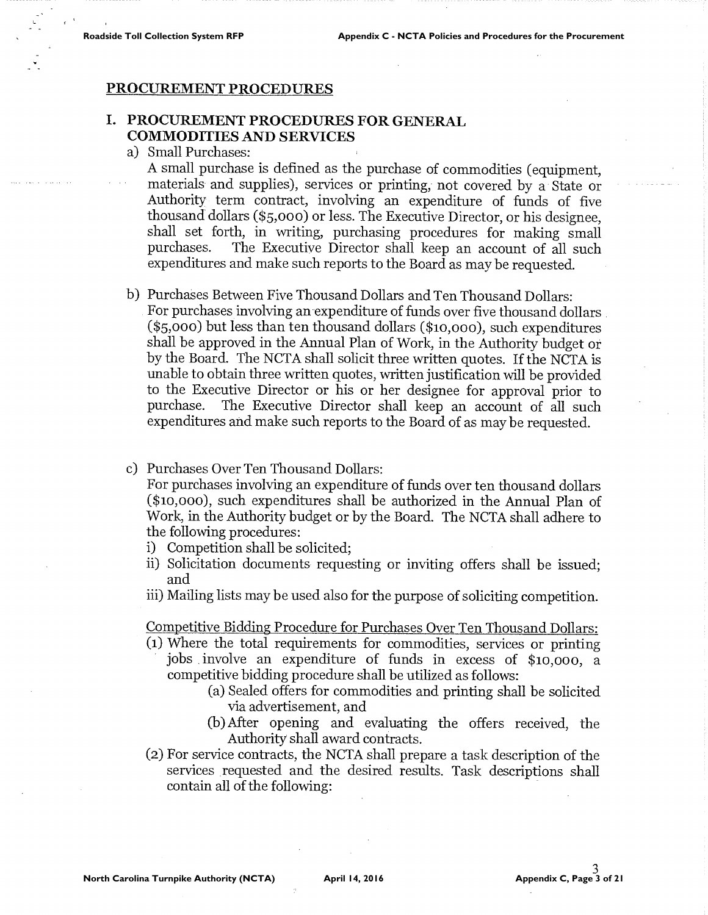## **PROCUREMENT PROCEDURES**

## I. PROCUREMENT PROCEDURES FOR GENERAL **COMMODITIES AND SERVICES**

a) Small Purchases:

A small purchase is defined as the purchase of commodities (equipment, materials and supplies), services or printing, not covered by a State or Authority term contract, involving an expenditure of funds of five thousand dollars (\$5,000) or less. The Executive Director, or his designee, shall set forth, in writing, purchasing procedures for making small The Executive Director shall keep an account of all such purchases. expenditures and make such reports to the Board as may be requested.

b) Purchases Between Five Thousand Dollars and Ten Thousand Dollars:

For purchases involving an expenditure of funds over five thousand dollars (\$5,000) but less than ten thousand dollars (\$10,000), such expenditures shall be approved in the Annual Plan of Work, in the Authority budget or by the Board. The NCTA shall solicit three written quotes. If the NCTA is unable to obtain three written quotes, written justification will be provided to the Executive Director or his or her designee for approval prior to purchase. The Executive Director shall keep an account of all such expenditures and make such reports to the Board of as may be requested.

c) Purchases Over Ten Thousand Dollars:

For purchases involving an expenditure of funds over ten thousand dollars (\$10,000), such expenditures shall be authorized in the Annual Plan of Work, in the Authority budget or by the Board. The NCTA shall adhere to the following procedures:

- i) Competition shall be solicited;
- ii) Solicitation documents requesting or inviting offers shall be issued; and
- iii) Mailing lists may be used also for the purpose of soliciting competition.

Competitive Bidding Procedure for Purchases Over Ten Thousand Dollars:

- (1) Where the total requirements for commodities, services or printing jobs involve an expenditure of funds in excess of \$10,000, a competitive bidding procedure shall be utilized as follows:
	- (a) Sealed offers for commodities and printing shall be solicited via advertisement, and
	- (b) After opening and evaluating the offers received, the Authority shall award contracts.
- (2) For service contracts, the NCTA shall prepare a task description of the services requested and the desired results. Task descriptions shall contain all of the following: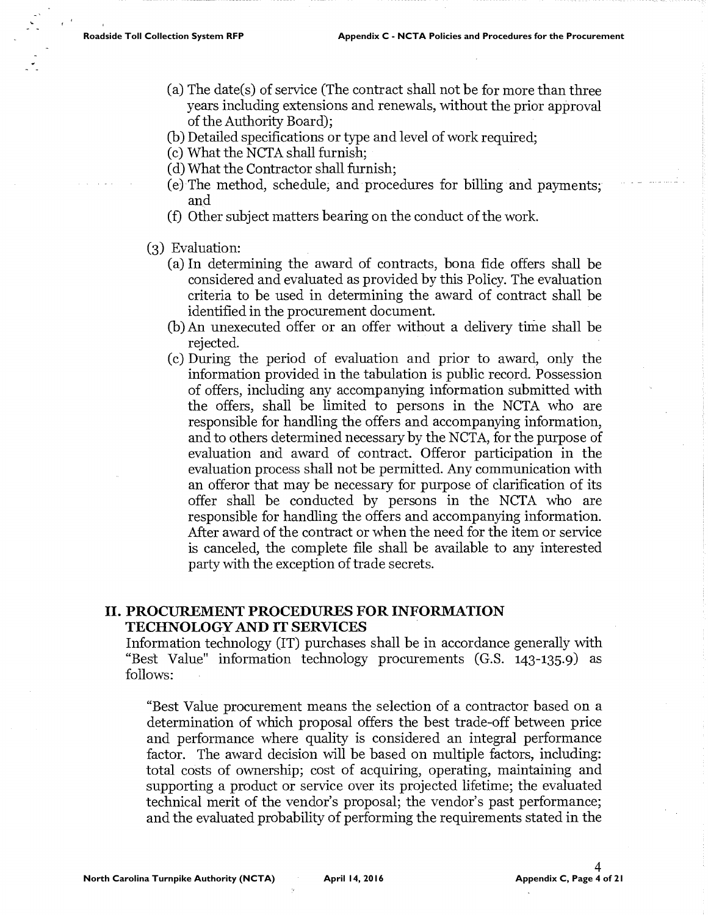- (a) The date(s) of service (The contract shall not be for more than three years including extensions and renewals, without the prior approval of the Authority Board);
- (b) Detailed specifications or type and level of work required;
- (c) What the NCTA shall furnish;
- (d) What the Contractor shall furnish;
- (e) The method, schedule, and procedures for billing and payments; and
- (f) Other subject matters bearing on the conduct of the work.
- $(3)$  Evaluation:
	- (a) In determining the award of contracts, bona fide offers shall be considered and evaluated as provided by this Policy. The evaluation criteria to be used in determining the award of contract shall be identified in the procurement document.
	- (b) An unexecuted offer or an offer without a delivery time shall be rejected.
	- (c) During the period of evaluation and prior to award, only the information provided in the tabulation is public record. Possession of offers, including any accompanying information submitted with the offers, shall be limited to persons in the NCTA who are responsible for handling the offers and accompanying information. and to others determined necessary by the NCTA, for the purpose of evaluation and award of contract. Offeror participation in the evaluation process shall not be permitted. Any communication with an offeror that may be necessary for purpose of clarification of its offer shall be conducted by persons in the NCTA who are responsible for handling the offers and accompanying information. After award of the contract or when the need for the item or service is canceled, the complete file shall be available to any interested party with the exception of trade secrets.

## **II. PROCUREMENT PROCEDURES FOR INFORMATION TECHNOLOGY AND IT SERVICES**

Information technology (IT) purchases shall be in accordance generally with "Best Value" information technology procurements (G.S. 143-135.9) as follows:

"Best Value procurement means the selection of a contractor based on a determination of which proposal offers the best trade-off between price and performance where quality is considered an integral performance factor. The award decision will be based on multiple factors, including: total costs of ownership; cost of acquiring, operating, maintaining and supporting a product or service over its projected lifetime; the evaluated technical merit of the vendor's proposal; the vendor's past performance; and the evaluated probability of performing the requirements stated in the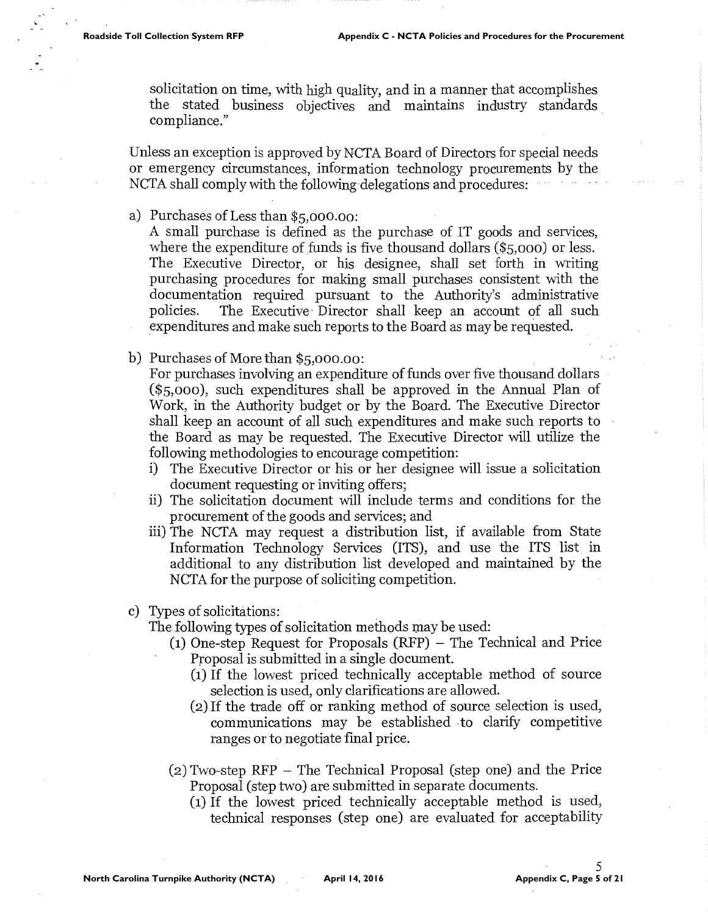solicitation on time, with high quality, and in a manner that accomplishes the stated business objectives and maintains industry standards compliance."

Unless an exception is approved by NCTA Board of Directors for special needs or emergency circumstances, information technology procurements by the NCTA shall comply with the following delegations and procedures:

a) Purchases of Less than  $$5,000.00$ :

A small purchase is defined as the purchase of IT goods and services, where the expenditure of funds is five thousand dollars  $(\$5,000)$  or less. The Executive Director, or his designee, shall set forth in writing purchasing procedures for making small purchases consistent with the documentation required pursuant to the Authority's administrative The Executive Director shall keep an account of all such policies. expenditures and make such reports to the Board as may be requested.

b) Purchases of More than  $$5,000.00$ :

For purchases involving an expenditure of funds over five thousand dollars  $(\$5,000)$ , such expenditures shall be approved in the Annual Plan of Work, in the Authority budget or by the Board. The Executive Director shall keep an account of all such expenditures and make such reports to the Board as may be requested. The Executive Director will utilize the following methodologies to encourage competition:

- i) The Executive Director or his or her designee will issue a solicitation document requesting or inviting offers;
- ii) The solicitation document will include terms and conditions for the procurement of the goods and services; and
- iii) The NCTA may request a distribution list, if available from State Information Technology Services (ITS), and use the ITS list in additional to any distribution list developed and maintained by the NCTA for the purpose of soliciting competition.
- c) Types of solicitations:

The following types of solicitation methods may be used:

- (1) One-step Request for Proposals (RFP) The Technical and Price Proposal is submitted in a single document.
	- (1) If the lowest priced technically acceptable method of source selection is used, only clarifications are allowed.
	- (2) If the trade off or ranking method of source selection is used, communications may be established to clarify competitive ranges or to negotiate final price.
- $(2)$  Two-step RFP The Technical Proposal (step one) and the Price Proposal (step two) are submitted in separate documents.
	- (1) If the lowest priced technically acceptable method is used, technical responses (step one) are evaluated for acceptability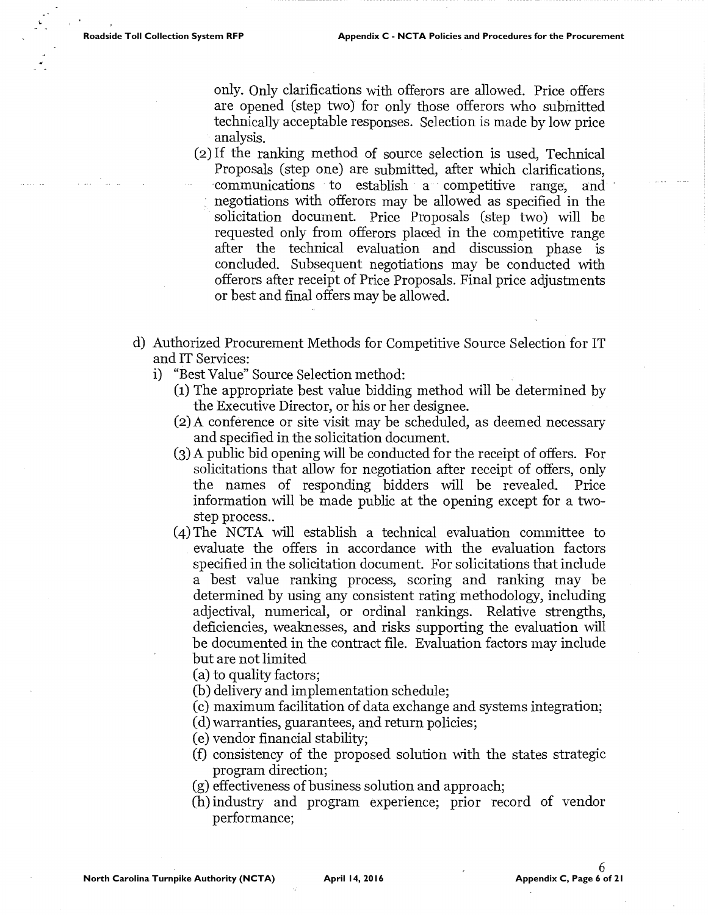only. Only clarifications with offerors are allowed. Price offers are opened (step two) for only those offerors who submitted technically acceptable responses. Selection is made by low price analysis.

- (2) If the ranking method of source selection is used. Technical Proposals (step one) are submitted, after which clarifications, communications to establish a competitive range, and negotiations with offerors may be allowed as specified in the solicitation document. Price Proposals (step two) will be requested only from offerors placed in the competitive range after the technical evaluation and discussion phase is concluded. Subsequent negotiations may be conducted with offerors after receipt of Price Proposals. Final price adjustments or best and final offers may be allowed.
- d) Authorized Procurement Methods for Competitive Source Selection for IT and IT Services:
	- "Best Value" Source Selection method:  $i)$ 
		- (1) The appropriate best value bidding method will be determined by the Executive Director, or his or her designee.
		- (2) A conference or site visit may be scheduled, as deemed necessary and specified in the solicitation document.
		- (3) A public bid opening will be conducted for the receipt of offers. For solicitations that allow for negotiation after receipt of offers, only the names of responding bidders will be revealed. Price information will be made public at the opening except for a twostep process..
		- (4) The NCTA will establish a technical evaluation committee to evaluate the offers in accordance with the evaluation factors specified in the solicitation document. For solicitations that include a best value ranking process, scoring and ranking may be determined by using any consistent rating methodology, including adjectival, numerical, or ordinal rankings. Relative strengths, deficiencies, weaknesses, and risks supporting the evaluation will be documented in the contract file. Evaluation factors may include but are not limited

(a) to quality factors;

(b) delivery and implementation schedule;

- (c) maximum facilitation of data exchange and systems integration;
- (d) warranties, guarantees, and return policies;
- (e) vendor financial stability;
- (f) consistency of the proposed solution with the states strategic program direction;
- (g) effectiveness of business solution and approach;
- (h) industry and program experience; prior record of vendor performance;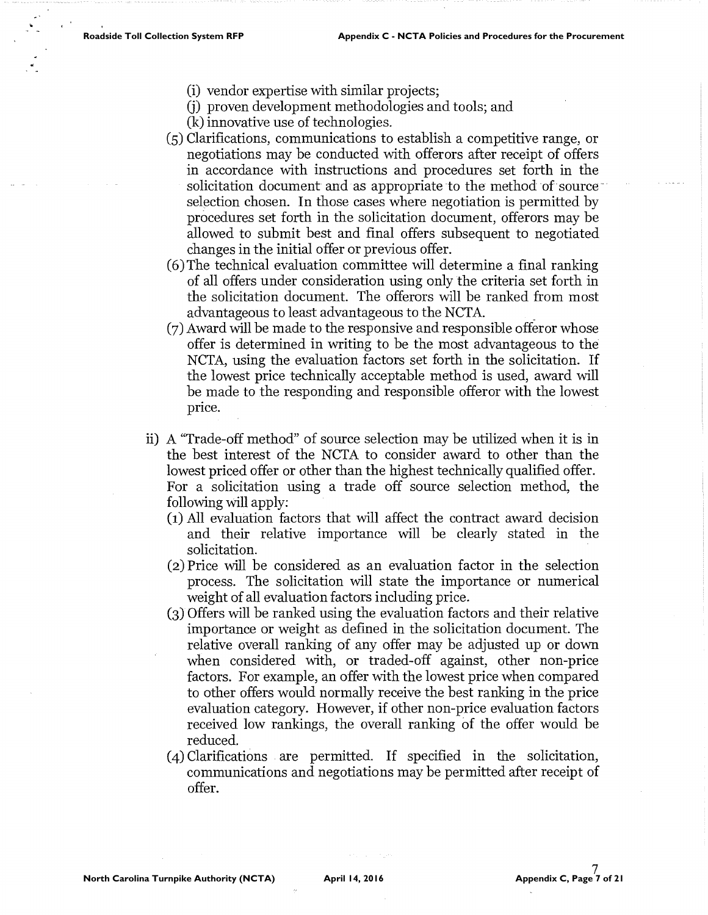- (i) vendor expertise with similar projects;
- (i) proven development methodologies and tools; and
- (k) innovative use of technologies.
- $(5)$  Clarifications, communications to establish a competitive range, or negotiations may be conducted with offerors after receipt of offers in accordance with instructions and procedures set forth in the solicitation document and as appropriate to the method of source selection chosen. In those cases where negotiation is permitted by procedures set forth in the solicitation document, offerors may be allowed to submit best and final offers subsequent to negotiated changes in the initial offer or previous offer.
- (6) The technical evaluation committee will determine a final ranking of all offers under consideration using only the criteria set forth in the solicitation document. The offerors will be ranked from most advantageous to least advantageous to the NCTA.
- (7) Award will be made to the responsive and responsible offeror whose offer is determined in writing to be the most advantageous to the NCTA, using the evaluation factors set forth in the solicitation. If the lowest price technically acceptable method is used, award will be made to the responding and responsible offeror with the lowest price.
- ii) A "Trade-off method" of source selection may be utilized when it is in the best interest of the NCTA to consider award to other than the lowest priced offer or other than the highest technically qualified offer. For a solicitation using a trade off source selection method, the following will apply:
	- (1) All evaluation factors that will affect the contract award decision and their relative importance will be clearly stated in the solicitation.
	- (2) Price will be considered as an evaluation factor in the selection process. The solicitation will state the importance or numerical weight of all evaluation factors including price.
	- (3) Offers will be ranked using the evaluation factors and their relative importance or weight as defined in the solicitation document. The relative overall ranking of any offer may be adjusted up or down when considered with, or traded-off against, other non-price factors. For example, an offer with the lowest price when compared to other offers would normally receive the best ranking in the price evaluation category. However, if other non-price evaluation factors received low rankings, the overall ranking of the offer would be reduced.
	- $(4)$  Clarifications are permitted. If specified in the solicitation, communications and negotiations may be permitted after receipt of offer.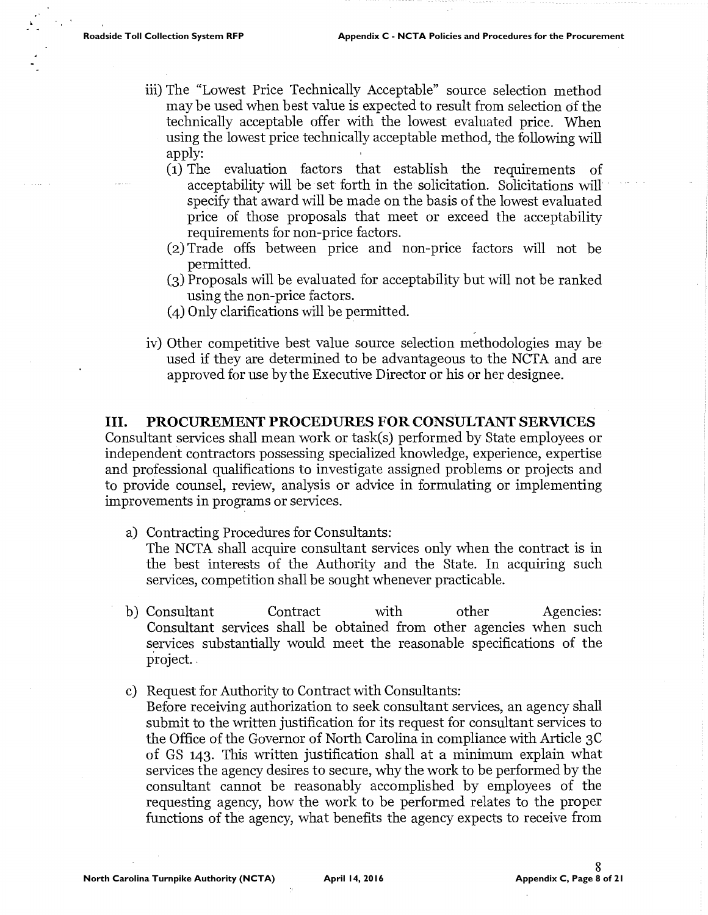- iii) The "Lowest Price Technically Acceptable" source selection method may be used when best value is expected to result from selection of the technically acceptable offer with the lowest evaluated price. When using the lowest price technically acceptable method, the following will apply:
	- (1) The evaluation factors that establish the requirements of acceptability will be set forth in the solicitation. Solicitations will specify that award will be made on the basis of the lowest evaluated price of those proposals that meet or exceed the acceptability requirements for non-price factors.
	- (2) Trade offs between price and non-price factors will not be permitted.
	- (3) Proposals will be evaluated for acceptability but will not be ranked using the non-price factors.
	- (4) Only clarifications will be permitted.
- iv) Other competitive best value source selection methodologies may be used if they are determined to be advantageous to the NCTA and are approved for use by the Executive Director or his or her designee.

#### PROCUREMENT PROCEDURES FOR CONSULTANT SERVICES III.

Consultant services shall mean work or task(s) performed by State employees or independent contractors possessing specialized knowledge, experience, expertise and professional qualifications to investigate assigned problems or projects and to provide counsel, review, analysis or advice in formulating or implementing improvements in programs or services.

- a) Contracting Procedures for Consultants: The NCTA shall acquire consultant services only when the contract is in the best interests of the Authority and the State. In acquiring such services, competition shall be sought whenever practicable.
- b) Consultant Contract with other Agencies: Consultant services shall be obtained from other agencies when such services substantially would meet the reasonable specifications of the project.
- c) Request for Authority to Contract with Consultants: Before receiving authorization to seek consultant services, an agency shall submit to the written justification for its request for consultant services to the Office of the Governor of North Carolina in compliance with Article 3C of GS 143. This written justification shall at a minimum explain what services the agency desires to secure, why the work to be performed by the consultant cannot be reasonably accomplished by employees of the requesting agency, how the work to be performed relates to the proper functions of the agency, what benefits the agency expects to receive from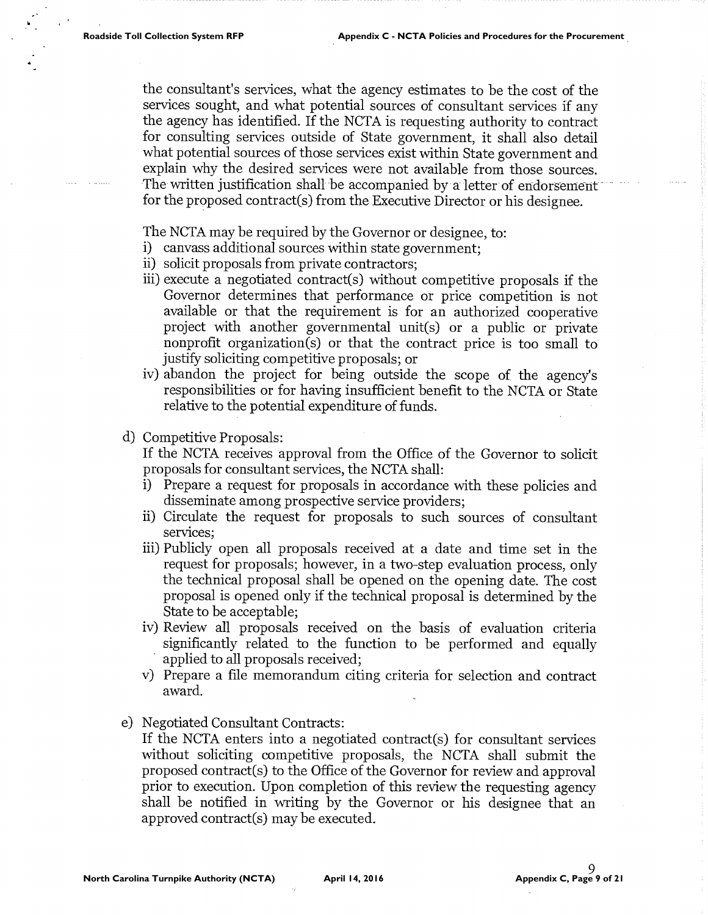the consultant's services, what the agency estimates to be the cost of the services sought, and what potential sources of consultant services if any the agency has identified. If the NCTA is requesting authority to contract for consulting services outside of State government, it shall also detail what potential sources of those services exist within State government and explain why the desired services were not available from those sources. The written justification shall be accompanied by a letter of endorsement for the proposed contract(s) from the Executive Director or his designee.

The NCTA may be required by the Governor or designee, to:

- i) canvass additional sources within state government;
- ii) solicit proposals from private contractors;
- iii) execute a negotiated contract(s) without competitive proposals if the Governor determines that performance or price competition is not available or that the requirement is for an authorized cooperative project with another governmental unit(s) or a public or private nonprofit organization(s) or that the contract price is too small to justify soliciting competitive proposals; or
- iv) abandon the project for being outside the scope of the agency's responsibilities or for having insufficient benefit to the NCTA or State relative to the potential expenditure of funds.
- d) Competitive Proposals:

If the NCTA receives approval from the Office of the Governor to solicit proposals for consultant services, the NCTA shall:

- i) Prepare a request for proposals in accordance with these policies and disseminate among prospective service providers;
- ii) Circulate the request for proposals to such sources of consultant services:
- iii) Publicly open all proposals received at a date and time set in the request for proposals; however, in a two-step evaluation process, only the technical proposal shall be opened on the opening date. The cost proposal is opened only if the technical proposal is determined by the State to be acceptable;
- iv) Review all proposals received on the basis of evaluation criteria significantly related to the function to be performed and equally applied to all proposals received;
- v) Prepare a file memorandum citing criteria for selection and contract award.
- e) Negotiated Consultant Contracts:

If the NCTA enters into a negotiated contract(s) for consultant services without soliciting competitive proposals, the NCTA shall submit the proposed contract(s) to the Office of the Governor for review and approval prior to execution. Upon completion of this review the requesting agency shall be notified in writing by the Governor or his designee that an approved contract(s) may be executed.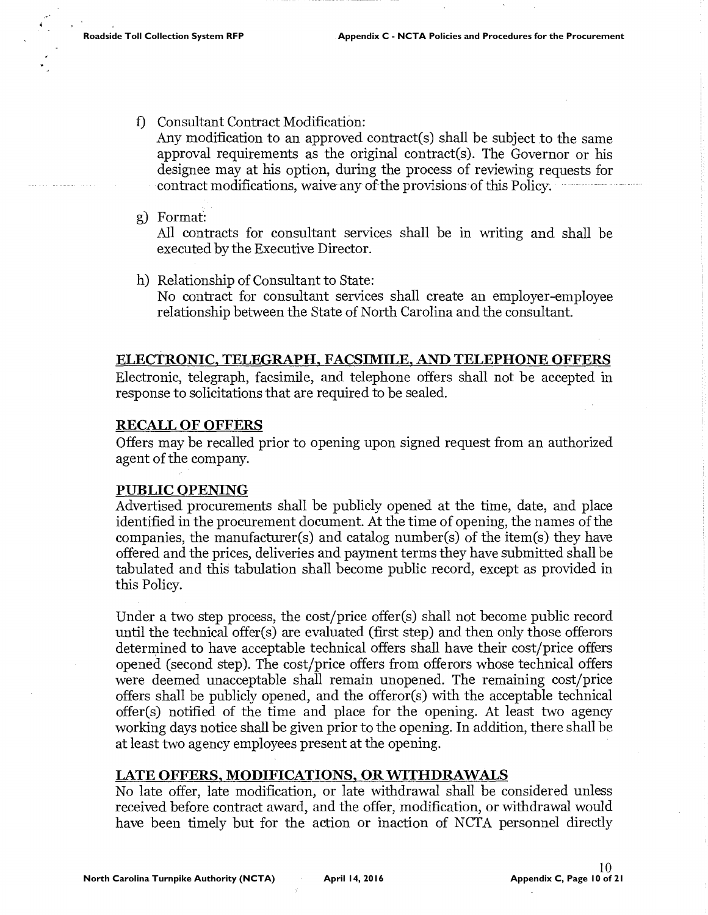f) Consultant Contract Modification:

Any modification to an approved contract(s) shall be subject to the same approval requirements as the original contract(s). The Governor or his designee may at his option, during the process of reviewing requests for contract modifications, waive any of the provisions of this Policy.

g) Format:

All contracts for consultant services shall be in writing and shall be executed by the Executive Director.

h) Relationship of Consultant to State: No contract for consultant services shall create an employer-employee relationship between the State of North Carolina and the consultant.

## ELECTRONIC, TELEGRAPH, FACSIMILE, AND TELEPHONE OFFERS

Electronic, telegraph, facsimile, and telephone offers shall not be accepted in response to solicitations that are required to be sealed.

## **RECALL OF OFFERS**

Offers may be recalled prior to opening upon signed request from an authorized agent of the company.

#### **PUBLIC OPENING**

Advertised procurements shall be publicly opened at the time, date, and place identified in the procurement document. At the time of opening, the names of the companies, the manufacturer(s) and catalog number(s) of the item(s) they have offered and the prices, deliveries and payment terms they have submitted shall be tabulated and this tabulation shall become public record, except as provided in this Policy.

Under a two step process, the cost/price offer(s) shall not become public record until the technical offer(s) are evaluated (first step) and then only those offerors determined to have acceptable technical offers shall have their cost/price offers opened (second step). The cost/price offers from offerors whose technical offers were deemed unacceptable shall remain unopened. The remaining cost/price offers shall be publicly opened, and the offeror(s) with the acceptable technical offer(s) notified of the time and place for the opening. At least two agency working days notice shall be given prior to the opening. In addition, there shall be at least two agency employees present at the opening.

## LATE OFFERS, MODIFICATIONS, OR WITHDRAWALS

No late offer, late modification, or late withdrawal shall be considered unless received before contract award, and the offer, modification, or withdrawal would have been timely but for the action or inaction of NCTA personnel directly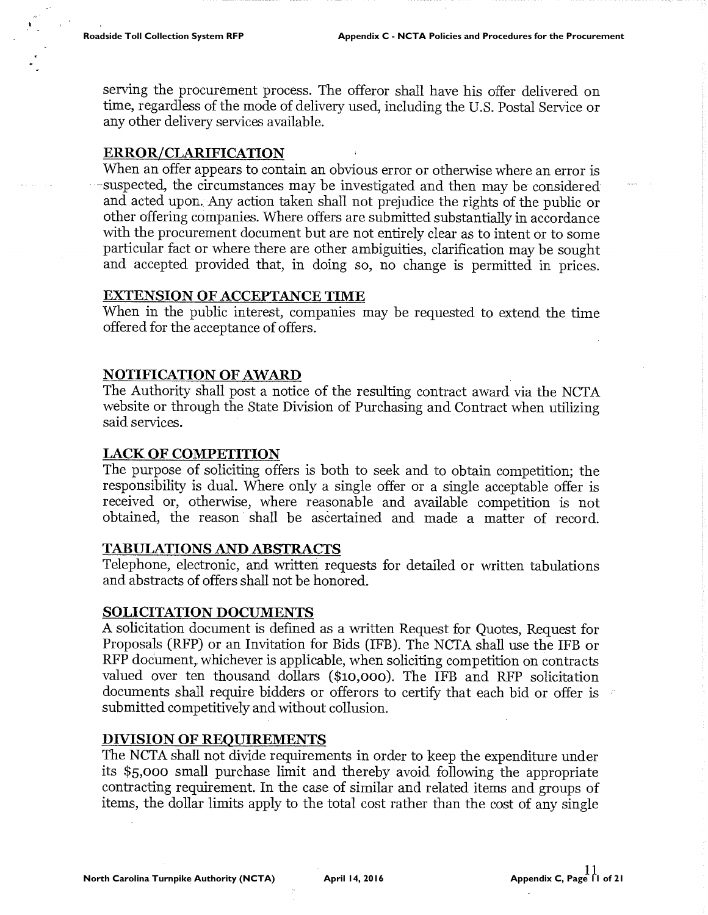serving the procurement process. The offeror shall have his offer delivered on time, regardless of the mode of delivery used, including the U.S. Postal Service or any other delivery services available.

#### **ERROR/CLARIFICATION**

When an offer appears to contain an obvious error or otherwise where an error is suspected, the circumstances may be investigated and then may be considered and acted upon. Any action taken shall not prejudice the rights of the public or other offering companies. Where offers are submitted substantially in accordance with the procurement document but are not entirely clear as to intent or to some particular fact or where there are other ambiguities, clarification may be sought and accepted provided that, in doing so, no change is permitted in prices.

#### **EXTENSION OF ACCEPTANCE TIME**

When in the public interest, companies may be requested to extend the time offered for the acceptance of offers.

#### **NOTIFICATION OF AWARD**

The Authority shall post a notice of the resulting contract award via the NCTA website or through the State Division of Purchasing and Contract when utilizing said services.

## **LACK OF COMPETITION**

The purpose of soliciting offers is both to seek and to obtain competition; the responsibility is dual. Where only a single offer or a single acceptable offer is received or, otherwise, where reasonable and available competition is not obtained, the reason shall be ascertained and made a matter of record.

## TABULATIONS AND ABSTRACTS

Telephone, electronic, and written requests for detailed or written tabulations and abstracts of offers shall not be honored.

## SOLICITATION DOCUMENTS

A solicitation document is defined as a written Request for Quotes, Request for Proposals (RFP) or an Invitation for Bids (IFB). The NCTA shall use the IFB or RFP document, whichever is applicable, when soliciting competition on contracts valued over ten thousand dollars (\$10,000). The IFB and RFP solicitation documents shall require bidders or offerors to certify that each bid or offer is submitted competitively and without collusion.

## **DIVISION OF REQUIREMENTS**

The NCTA shall not divide requirements in order to keep the expenditure under its \$5,000 small purchase limit and thereby avoid following the appropriate contracting requirement. In the case of similar and related items and groups of items, the dollar limits apply to the total cost rather than the cost of any single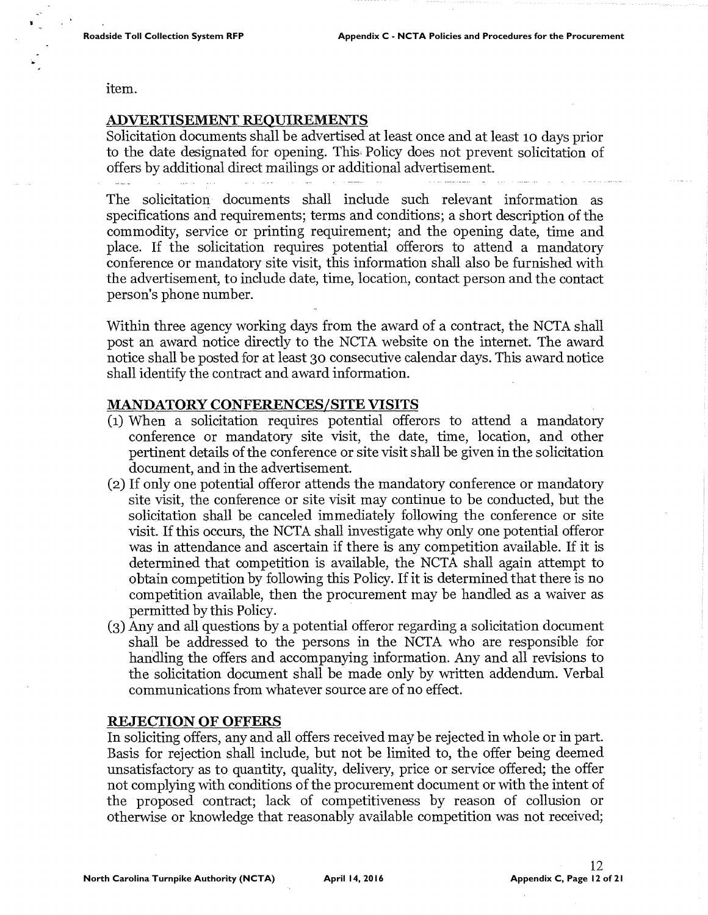#### item.

#### **ADVERTISEMENT REQUIREMENTS**

Solicitation documents shall be advertised at least once and at least 10 days prior to the date designated for opening. This Policy does not prevent solicitation of offers by additional direct mailings or additional advertisement.

The solicitation documents shall include such relevant information as specifications and requirements; terms and conditions; a short description of the commodity, service or printing requirement; and the opening date, time and place. If the solicitation requires potential offerors to attend a mandatory conference or mandatory site visit, this information shall also be furnished with the advertisement, to include date, time, location, contact person and the contact person's phone number.

Within three agency working days from the award of a contract, the NCTA shall post an award notice directly to the NCTA website on the internet. The award notice shall be posted for at least 30 consecutive calendar days. This award notice shall identify the contract and award information.

#### **MANDATORY CONFERENCES/SITE VISITS**

- (1) When a solicitation requires potential offerors to attend a mandatory conference or mandatory site visit, the date, time, location, and other pertinent details of the conference or site visit shall be given in the solicitation document, and in the advertisement.
- (2) If only one potential offeror attends the mandatory conference or mandatory site visit, the conference or site visit may continue to be conducted, but the solicitation shall be canceled immediately following the conference or site visit. If this occurs, the NCTA shall investigate why only one potential offeror was in attendance and ascertain if there is any competition available. If it is determined that competition is available, the NCTA shall again attempt to obtain competition by following this Policy. If it is determined that there is no competition available, then the procurement may be handled as a waiver as permitted by this Policy.
- (3) Any and all questions by a potential offeror regarding a solicitation document shall be addressed to the persons in the NCTA who are responsible for handling the offers and accompanying information. Any and all revisions to the solicitation document shall be made only by written addendum. Verbal communications from whatever source are of no effect.

#### **REJECTION OF OFFERS**

In soliciting offers, any and all offers received may be rejected in whole or in part. Basis for rejection shall include, but not be limited to, the offer being deemed unsatisfactory as to quantity, quality, delivery, price or service offered; the offer not complying with conditions of the procurement document or with the intent of the proposed contract; lack of competitiveness by reason of collusion or otherwise or knowledge that reasonably available competition was not received;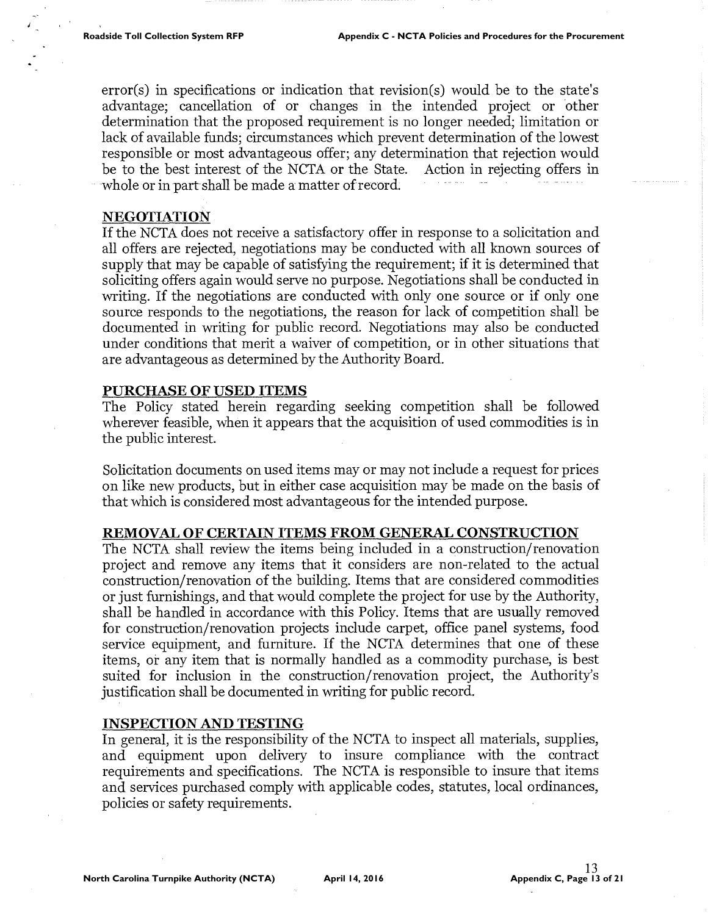error(s) in specifications or indication that revision(s) would be to the state's advantage; cancellation of or changes in the intended project or other determination that the proposed requirement is no longer needed; limitation or lack of available funds; circumstances which prevent determination of the lowest responsible or most advantageous offer; any determination that rejection would be to the best interest of the NCTA or the State. Action in rejecting offers in whole or in part shall be made a matter of record.

#### **NEGOTIATION**

If the NCTA does not receive a satisfactory offer in response to a solicitation and all offers are rejected, negotiations may be conducted with all known sources of supply that may be capable of satisfying the requirement; if it is determined that soliciting offers again would serve no purpose. Negotiations shall be conducted in writing. If the negotiations are conducted with only one source or if only one source responds to the negotiations, the reason for lack of competition shall be documented in writing for public record. Negotiations may also be conducted under conditions that merit a waiver of competition, or in other situations that are advantageous as determined by the Authority Board.

#### PURCHASE OF USED ITEMS

The Policy stated herein regarding seeking competition shall be followed wherever feasible, when it appears that the acquisition of used commodities is in the public interest.

Solicitation documents on used items may or may not include a request for prices on like new products, but in either case acquisition may be made on the basis of that which is considered most advantageous for the intended purpose.

#### REMOVAL OF CERTAIN ITEMS FROM GENERAL CONSTRUCTION

The NCTA shall review the items being included in a construction/renovation project and remove any items that it considers are non-related to the actual construction/renovation of the building. Items that are considered commodities or just furnishings, and that would complete the project for use by the Authority, shall be handled in accordance with this Policy. Items that are usually removed for construction/renovation projects include carpet, office panel systems, food service equipment, and furniture. If the NCTA determines that one of these items, or any item that is normally handled as a commodity purchase, is best suited for inclusion in the construction/renovation project, the Authority's justification shall be documented in writing for public record.

#### **INSPECTION AND TESTING**

In general, it is the responsibility of the NCTA to inspect all materials, supplies, and equipment upon delivery to insure compliance with the contract requirements and specifications. The NCTA is responsible to insure that items and services purchased comply with applicable codes, statutes, local ordinances, policies or safety requirements.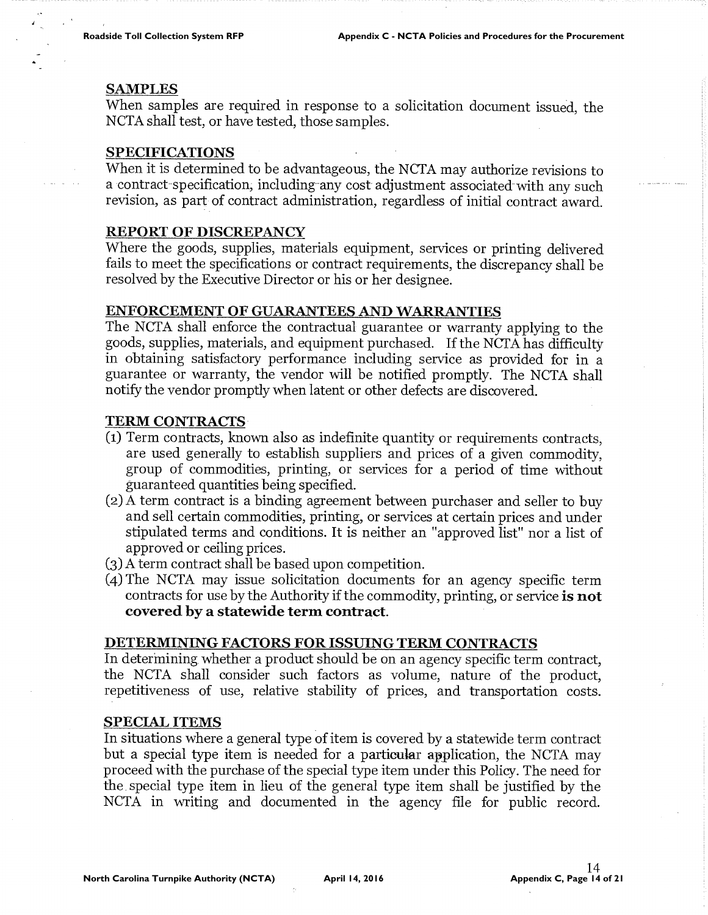#### **SAMPLES**

When samples are required in response to a solicitation document issued, the NCTA shall test, or have tested, those samples.

## **SPECIFICATIONS**

When it is determined to be advantageous, the NCTA may authorize revisions to a contract-specification, including any cost adjustment associated with any such revision, as part of contract administration, regardless of initial contract award.

#### **REPORT OF DISCREPANCY**

Where the goods, supplies, materials equipment, services or printing delivered fails to meet the specifications or contract requirements, the discrepancy shall be resolved by the Executive Director or his or her designee.

#### **ENFORCEMENT OF GUARANTEES AND WARRANTIES**

The NCTA shall enforce the contractual guarantee or warranty applying to the goods, supplies, materials, and equipment purchased. If the NCTA has difficulty in obtaining satisfactory performance including service as provided for in a guarantee or warranty, the vendor will be notified promptly. The NCTA shall notify the vendor promptly when latent or other defects are discovered.

## **TERM CONTRACTS**

- (1) Term contracts, known also as indefinite quantity or requirements contracts, are used generally to establish suppliers and prices of a given commodity. group of commodities, printing, or services for a period of time without guaranteed quantities being specified.
- (2)  $\overrightarrow{A}$  term contract is a binding agreement between purchaser and seller to buy and sell certain commodities, printing, or services at certain prices and under stipulated terms and conditions. It is neither an "approved list" nor a list of approved or ceiling prices.
- (3) A term contract shall be based upon competition.
- (4) The NCTA may issue solicitation documents for an agency specific term contracts for use by the Authority if the commodity, printing, or service is not covered by a statewide term contract.

#### DETERMINING FACTORS FOR ISSUING TERM CONTRACTS

In determining whether a product should be on an agency specific term contract, the NCTA shall consider such factors as volume, nature of the product, repetitiveness of use, relative stability of prices, and transportation costs.

#### **SPECIAL ITEMS**

In situations where a general type of item is covered by a statewide term contract but a special type item is needed for a particular application, the NCTA may proceed with the purchase of the special type item under this Policy. The need for the special type item in lieu of the general type item shall be justified by the NCTA in writing and documented in the agency file for public record.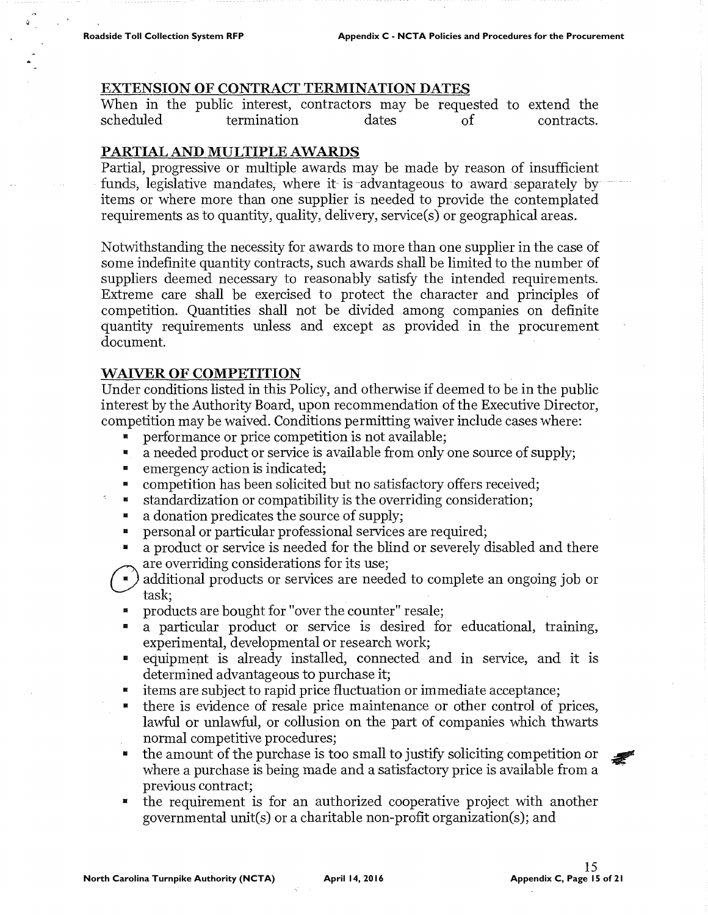#### **EXTENSION OF CONTRACT TERMINATION DATES**

When in the public interest, contractors may be requested to extend the scheduled termination dates of contracts.

## PARTIAL AND MULTIPLE AWARDS

Partial, progressive or multiple awards may be made by reason of insufficient funds, legislative mandates, where it is advantageous to award separately by items or where more than one supplier is needed to provide the contemplated requirements as to quantity, quality, delivery, service(s) or geographical areas.

Notwithstanding the necessity for awards to more than one supplier in the case of some indefinite quantity contracts, such awards shall be limited to the number of suppliers deemed necessary to reasonably satisfy the intended requirements. Extreme care shall be exercised to protect the character and principles of competition. Quantities shall not be divided among companies on definite quantity requirements unless and except as provided in the procurement document.

## **WAIVER OF COMPETITION**

Under conditions listed in this Policy, and otherwise if deemed to be in the public interest by the Authority Board, upon recommendation of the Executive Director, competition may be waived. Conditions permitting waiver include cases where:

- performance or price competition is not available;
- a needed product or service is available from only one source of supply;
- Ħ emergency action is indicated;
- competition has been solicited but no satisfactory offers received; N
- standardization or compatibility is the overriding consideration;  $\overline{\mathbf{R}}$
- a donation predicates the source of supply;  $\blacksquare$
- personal or particular professional services are required;
- a product or service is needed for the blind or severely disabled and there are overriding considerations for its use;

additional products or services are needed to complete an ongoing job or task:

- products are bought for "over the counter" resale;
- a particular product or service is desired for educational, training, experimental, developmental or research work;
- equipment is already installed, connected and in service, and it is determined advantageous to purchase it;
- items are subject to rapid price fluctuation or immediate acceptance;
- there is evidence of resale price maintenance or other control of prices, lawful or unlawful, or collusion on the part of companies which thwarts normal competitive procedures;
- the amount of the purchase is too small to justify soliciting competition or where a purchase is being made and a satisfactory price is available from a previous contract;
- the requirement is for an authorized cooperative project with another  $\pmb{\mathbb{R}}$ governmental unit(s) or a charitable non-profit organization(s); and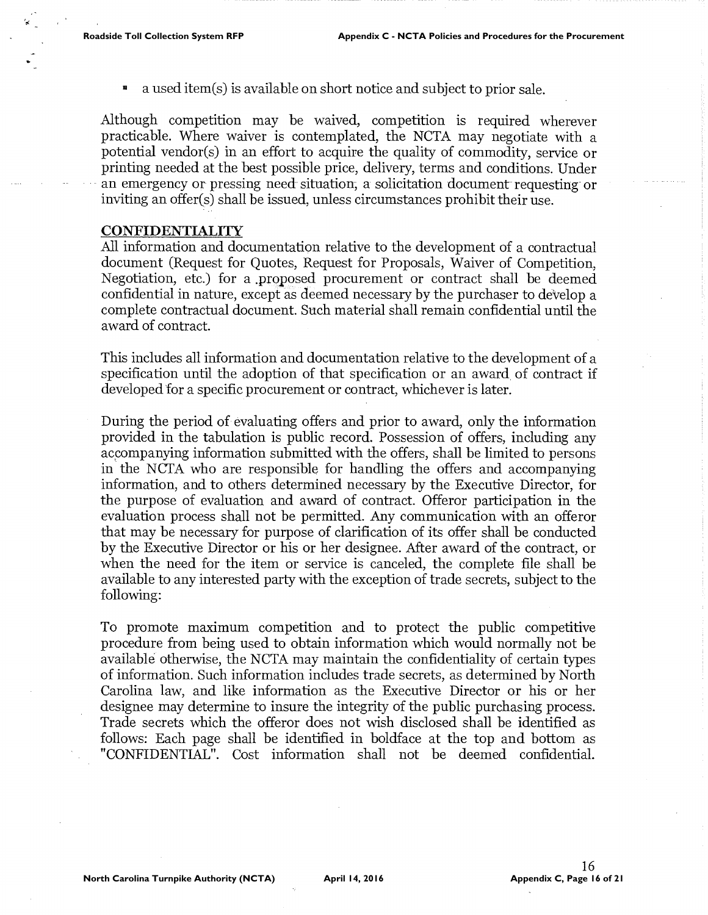a used item(s) is available on short notice and subject to prior sale.

Although competition may be waived, competition is required wherever practicable. Where waiver is contemplated, the NCTA may negotiate with a potential vendor(s) in an effort to acquire the quality of commodity, service or printing needed at the best possible price, delivery, terms and conditions. Under an emergency or pressing need situation, a solicitation document requesting or inviting an offer(s) shall be issued, unless circumstances prohibit their use.

## **CONFIDENTIALITY**

All information and documentation relative to the development of a contractual document (Request for Quotes, Request for Proposals, Waiver of Competition, Negotiation, etc.) for a proposed procurement or contract shall be deemed confidential in nature, except as deemed necessary by the purchaser to develop a complete contractual document. Such material shall remain confidential until the award of contract.

This includes all information and documentation relative to the development of a specification until the adoption of that specification or an award of contract if developed for a specific procurement or contract, whichever is later.

During the period of evaluating offers and prior to award, only the information provided in the tabulation is public record. Possession of offers, including any accompanying information submitted with the offers, shall be limited to persons in the NCTA who are responsible for handling the offers and accompanying information, and to others determined necessary by the Executive Director, for the purpose of evaluation and award of contract. Offeror participation in the evaluation process shall not be permitted. Any communication with an offeror that may be necessary for purpose of clarification of its offer shall be conducted by the Executive Director or his or her designee. After award of the contract, or when the need for the item or service is canceled, the complete file shall be available to any interested party with the exception of trade secrets, subject to the following:

To promote maximum competition and to protect the public competitive procedure from being used to obtain information which would normally not be available otherwise, the NCTA may maintain the confidentiality of certain types of information. Such information includes trade secrets, as determined by North Carolina law, and like information as the Executive Director or his or her designee may determine to insure the integrity of the public purchasing process. Trade secrets which the offeror does not wish disclosed shall be identified as follows: Each page shall be identified in boldface at the top and bottom as "CONFIDENTIAL". Cost information shall not be deemed confidential.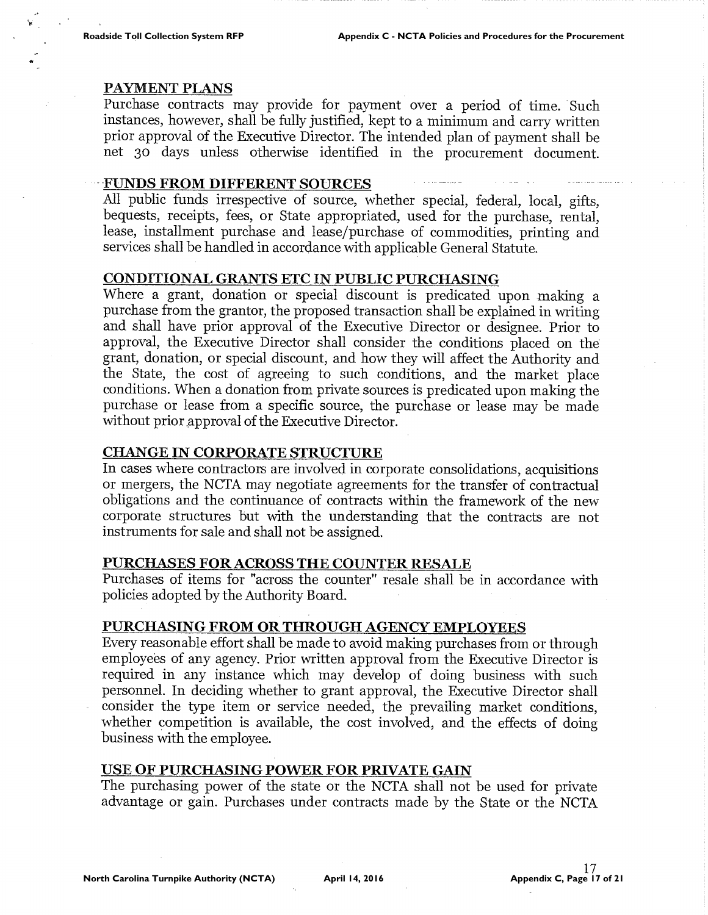## PAYMENT PLANS

Purchase contracts may provide for payment over a period of time. Such instances, however, shall be fully justified, kept to a minimum and carry written prior approval of the Executive Director. The intended plan of payment shall be net 30 days unless otherwise identified in the procurement document.

#### **FUNDS FROM DIFFERENT SOURCES**

All public funds irrespective of source, whether special, federal, local, gifts, bequests, receipts, fees, or State appropriated, used for the purchase, rental, lease, installment purchase and lease/purchase of commodities, printing and services shall be handled in accordance with applicable General Statute.

## **CONDITIONAL GRANTS ETC IN PUBLIC PURCHASING**

Where a grant, donation or special discount is predicated upon making a purchase from the grantor, the proposed transaction shall be explained in writing and shall have prior approval of the Executive Director or designee. Prior to approval, the Executive Director shall consider the conditions placed on the grant, donation, or special discount, and how they will affect the Authority and the State, the cost of agreeing to such conditions, and the market place conditions. When a donation from private sources is predicated upon making the purchase or lease from a specific source, the purchase or lease may be made without prior approval of the Executive Director.

## **CHANGE IN CORPORATE STRUCTURE**

In cases where contractors are involved in corporate consolidations, acquisitions or mergers, the NCTA may negotiate agreements for the transfer of contractual obligations and the continuance of contracts within the framework of the new corporate structures but with the understanding that the contracts are not instruments for sale and shall not be assigned.

### PURCHASES FOR ACROSS THE COUNTER RESALE

Purchases of items for "across the counter" resale shall be in accordance with policies adopted by the Authority Board.

## PURCHASING FROM OR THROUGH AGENCY EMPLOYEES

Every reasonable effort shall be made to avoid making purchases from or through employees of any agency. Prior written approval from the Executive Director is required in any instance which may develop of doing business with such personnel. In deciding whether to grant approval, the Executive Director shall consider the type item or service needed, the prevailing market conditions. whether competition is available, the cost involved, and the effects of doing business with the employee.

## USE OF PURCHASING POWER FOR PRIVATE GAIN

The purchasing power of the state or the NCTA shall not be used for private advantage or gain. Purchases under contracts made by the State or the NCTA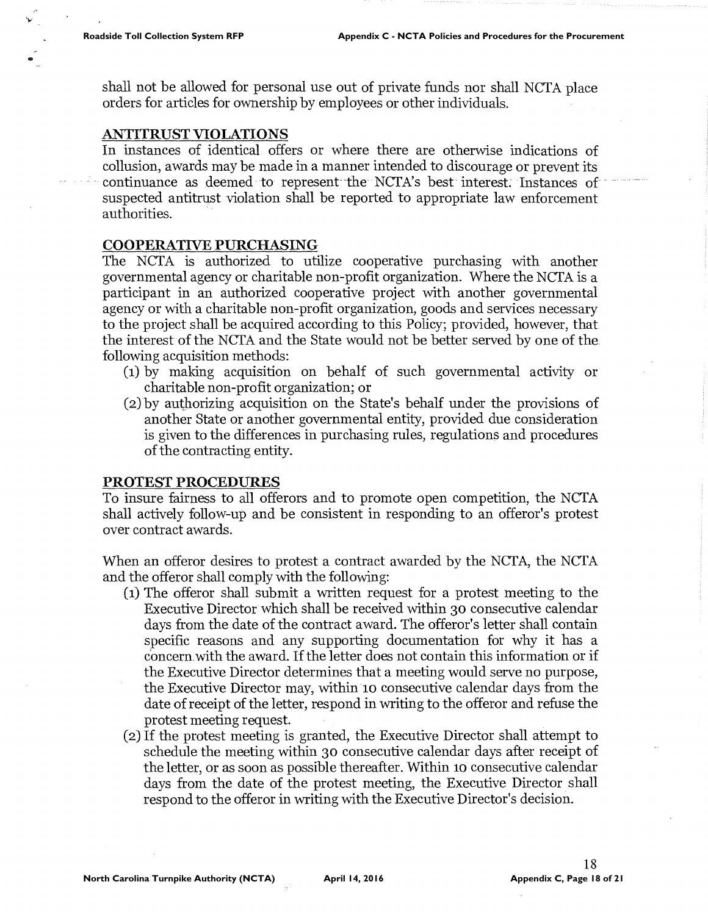shall not be allowed for personal use out of private funds nor shall NCTA place orders for articles for ownership by employees or other individuals.

## **ANTITRUST VIOLATIONS**

In instances of identical offers or where there are otherwise indications of collusion, awards may be made in a manner intended to discourage or prevent its continuance as deemed to represent the NCTA's best interest. Instances of suspected antitrust violation shall be reported to appropriate law enforcement authorities.

## **COOPERATIVE PURCHASING**

The NCTA is authorized to utilize cooperative purchasing with another governmental agency or charitable non-profit organization. Where the NCTA is a participant in an authorized cooperative project with another governmental agency or with a charitable non-profit organization, goods and services necessary to the project shall be acquired according to this Policy; provided, however, that the interest of the NCTA and the State would not be better served by one of the following acquisition methods:

- (1) by making acquisition on behalf of such governmental activity or charitable non-profit organization; or
- (2) by authorizing acquisition on the State's behalf under the provisions of another State or another governmental entity, provided due consideration is given to the differences in purchasing rules, regulations and procedures of the contracting entity.

#### PROTEST PROCEDURES

To insure fairness to all offerors and to promote open competition, the NCTA shall actively follow-up and be consistent in responding to an offeror's protest over contract awards.

When an offeror desires to protest a contract awarded by the NCTA, the NCTA and the offeror shall comply with the following:

- (1) The offeror shall submit a written request for a protest meeting to the Executive Director which shall be received within 30 consecutive calendar days from the date of the contract award. The offeror's letter shall contain specific reasons and any supporting documentation for why it has a concern with the award. If the letter does not contain this information or if the Executive Director determines that a meeting would serve no purpose, the Executive Director may, within 10 consecutive calendar days from the date of receipt of the letter, respond in writing to the offeror and refuse the protest meeting request.
- (2) If the protest meeting is granted, the Executive Director shall attempt to schedule the meeting within 30 consecutive calendar days after receipt of the letter, or as soon as possible thereafter. Within 10 consecutive calendar days from the date of the protest meeting, the Executive Director shall respond to the offeror in writing with the Executive Director's decision.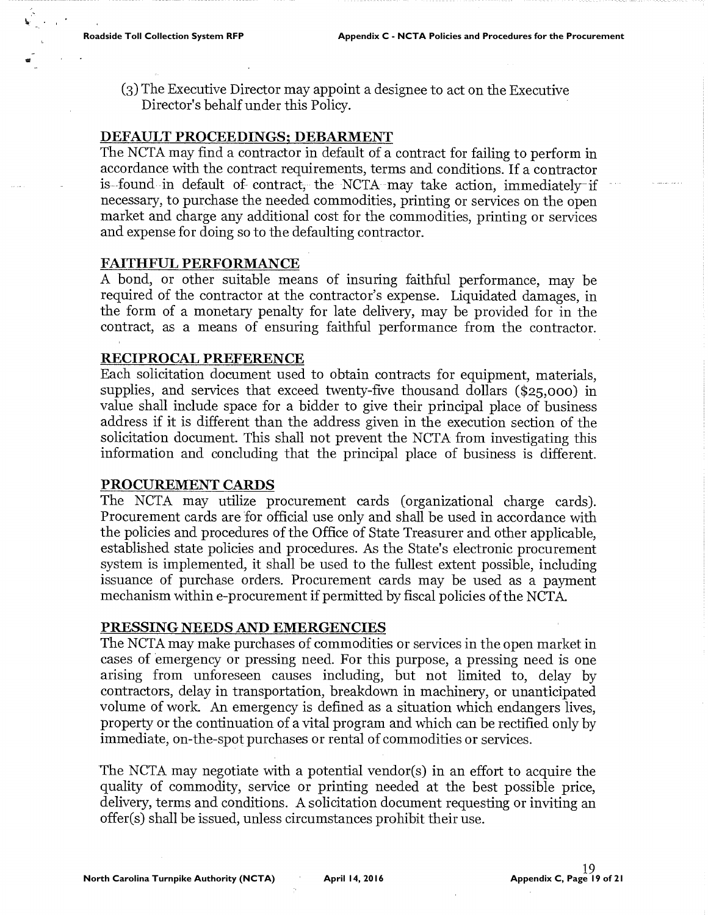(3) The Executive Director may appoint a designee to act on the Executive Director's behalf under this Policy.

## DEFAULT PROCEEDINGS: DEBARMENT

The NCTA may find a contractor in default of a contract for failing to perform in accordance with the contract requirements, terms and conditions. If a contractor is found in default of contract, the NCTA may take action, immediately if necessary, to purchase the needed commodities, printing or services on the open market and charge any additional cost for the commodities, printing or services and expense for doing so to the defaulting contractor.

## **FAITHFUL PERFORMANCE**

A bond, or other suitable means of insuring faithful performance, may be required of the contractor at the contractor's expense. Liquidated damages, in the form of a monetary penalty for late delivery, may be provided for in the contract, as a means of ensuring faithful performance from the contractor.

## **RECIPROCAL PREFERENCE**

Each solicitation document used to obtain contracts for equipment, materials, supplies, and services that exceed twenty-five thousand dollars (\$25,000) in value shall include space for a bidder to give their principal place of business address if it is different than the address given in the execution section of the solicitation document. This shall not prevent the NCTA from investigating this information and concluding that the principal place of business is different.

#### PROCUREMENT CARDS

The NCTA may utilize procurement cards (organizational charge cards). Procurement cards are for official use only and shall be used in accordance with the policies and procedures of the Office of State Treasurer and other applicable, established state policies and procedures. As the State's electronic procurement system is implemented, it shall be used to the fullest extent possible, including issuance of purchase orders. Procurement cards may be used as a payment mechanism within e-procurement if permitted by fiscal policies of the NCTA.

#### PRESSING NEEDS AND EMERGENCIES

The NCTA may make purchases of commodities or services in the open market in cases of emergency or pressing need. For this purpose, a pressing need is one arising from unforeseen causes including, but not limited to, delay by contractors, delay in transportation, breakdown in machinery, or unanticipated volume of work. An emergency is defined as a situation which endangers lives. property or the continuation of a vital program and which can be rectified only by immediate, on-the-spot purchases or rental of commodities or services.

The NCTA may negotiate with a potential vendor(s) in an effort to acquire the quality of commodity, service or printing needed at the best possible price, delivery, terms and conditions. A solicitation document requesting or inviting an offer(s) shall be issued, unless circumstances prohibit their use.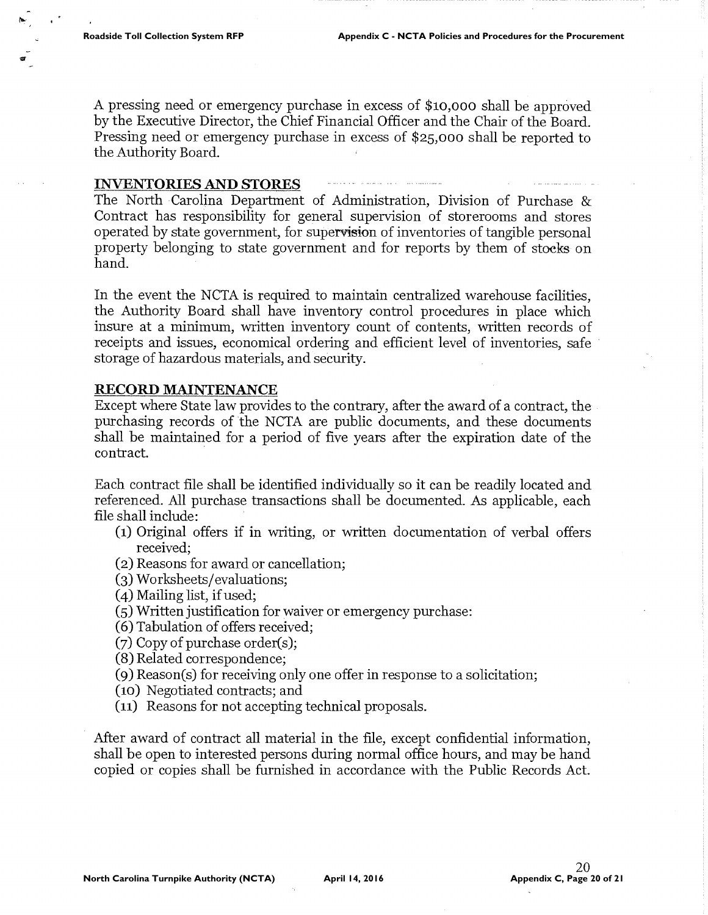A pressing need or emergency purchase in excess of \$10,000 shall be approved by the Executive Director, the Chief Financial Officer and the Chair of the Board. Pressing need or emergency purchase in excess of \$25,000 shall be reported to the Authority Board.

#### **INVENTORIES AND STORES**

The North Carolina Department of Administration, Division of Purchase & Contract has responsibility for general supervision of storerooms and stores operated by state government, for supervision of inventories of tangible personal property belonging to state government and for reports by them of stocks on hand.

In the event the NCTA is required to maintain centralized warehouse facilities, the Authority Board shall have inventory control procedures in place which insure at a minimum, written inventory count of contents, written records of receipts and issues, economical ordering and efficient level of inventories, safe storage of hazardous materials, and security.

#### **RECORD MAINTENANCE**

Except where State law provides to the contrary, after the award of a contract, the purchasing records of the NCTA are public documents, and these documents shall be maintained for a period of five years after the expiration date of the contract.

Each contract file shall be identified individually so it can be readily located and referenced. All purchase transactions shall be documented. As applicable, each file shall include:

- (1) Original offers if in writing, or written documentation of verbal offers received;
- (2) Reasons for award or cancellation;
- (3) Worksheets/evaluations;
- $(4)$  Mailing list, if used;
- (5) Written justification for waiver or emergency purchase:
- (6) Tabulation of offers received;
- (7) Copy of purchase order(s);
- (8) Related correspondence;
- (9) Reason(s) for receiving only one offer in response to a solicitation;
- (10) Negotiated contracts; and
- (11) Reasons for not accepting technical proposals.

After award of contract all material in the file, except confidential information, shall be open to interested persons during normal office hours, and may be hand copied or copies shall be furnished in accordance with the Public Records Act.